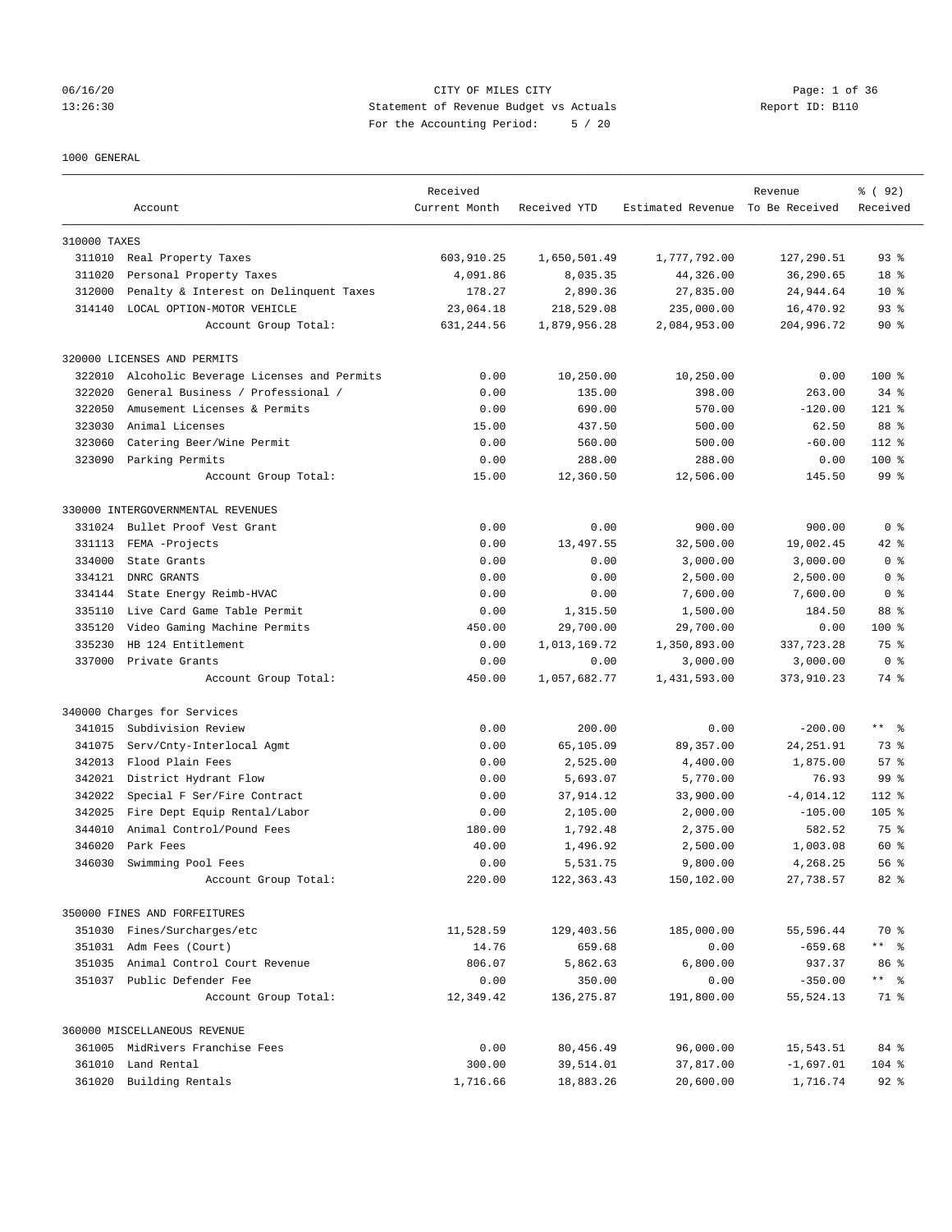## 06/16/20 CITY OF MILES CITY Page: 1 of 36 13:26:30 Statement of Revenue Budget vs Actuals Report ID: B110 For the Accounting Period: 5 / 20

#### 1000 GENERAL

|              | Account                                 | Received<br>Current Month | Received YTD | Estimated Revenue To Be Received | Revenue     | % (92)<br>Received |
|--------------|-----------------------------------------|---------------------------|--------------|----------------------------------|-------------|--------------------|
| 310000 TAXES |                                         |                           |              |                                  |             |                    |
|              | 311010 Real Property Taxes              | 603,910.25                | 1,650,501.49 | 1,777,792.00                     | 127,290.51  | 93%                |
| 311020       | Personal Property Taxes                 | 4,091.86                  | 8,035.35     | 44,326.00                        | 36,290.65   | 18 %               |
| 312000       | Penalty & Interest on Delinquent Taxes  | 178.27                    | 2,890.36     | 27,835.00                        | 24,944.64   | $10*$              |
| 314140       | LOCAL OPTION-MOTOR VEHICLE              | 23,064.18                 | 218,529.08   | 235,000.00                       | 16,470.92   | $93$ $%$           |
|              | Account Group Total:                    | 631,244.56                | 1,879,956.28 | 2,084,953.00                     | 204,996.72  | $90*$              |
|              | 320000 LICENSES AND PERMITS             |                           |              |                                  |             |                    |
| 322010       | Alcoholic Beverage Licenses and Permits | 0.00                      | 10,250.00    | 10,250.00                        | 0.00        | 100 %              |
| 322020       | General Business / Professional /       | 0.00                      | 135.00       | 398.00                           | 263.00      | $34$ $%$           |
| 322050       | Amusement Licenses & Permits            | 0.00                      | 690.00       | 570.00                           | $-120.00$   | $121$ %            |
| 323030       | Animal Licenses                         | 15.00                     | 437.50       | 500.00                           | 62.50       | 88 %               |
| 323060       | Catering Beer/Wine Permit               | 0.00                      | 560.00       | 500.00                           | $-60.00$    | $112$ %            |
|              | 323090 Parking Permits                  | 0.00                      | 288.00       | 288.00                           | 0.00        | 100 %              |
|              | Account Group Total:                    | 15.00                     | 12,360.50    | 12,506.00                        | 145.50      | 99 %               |
|              | 330000 INTERGOVERNMENTAL REVENUES       |                           |              |                                  |             |                    |
| 331024       | Bullet Proof Vest Grant                 | 0.00                      | 0.00         | 900.00                           | 900.00      | 0 <sup>8</sup>     |
| 331113       | FEMA -Projects                          | 0.00                      | 13,497.55    | 32,500.00                        | 19,002.45   | 42 %               |
| 334000       | State Grants                            | 0.00                      | 0.00         | 3,000.00                         | 3,000.00    | 0 <sup>8</sup>     |
| 334121       | DNRC GRANTS                             | 0.00                      | 0.00         | 2,500.00                         | 2,500.00    | 0 <sup>8</sup>     |
| 334144       | State Energy Reimb-HVAC                 | 0.00                      | 0.00         | 7,600.00                         | 7,600.00    | 0 <sup>8</sup>     |
| 335110       | Live Card Game Table Permit             | 0.00                      | 1,315.50     | 1,500.00                         | 184.50      | 88 %               |
| 335120       | Video Gaming Machine Permits            | 450.00                    | 29,700.00    | 29,700.00                        | 0.00        | 100 %              |
| 335230       | HB 124 Entitlement                      | 0.00                      | 1,013,169.72 | 1,350,893.00                     | 337, 723.28 | 75 %               |
| 337000       | Private Grants                          | 0.00                      | 0.00         | 3,000.00                         | 3,000.00    | 0 <sup>8</sup>     |
|              | Account Group Total:                    | 450.00                    | 1,057,682.77 | 1,431,593.00                     | 373,910.23  | 74 %               |
|              | 340000 Charges for Services             |                           |              |                                  |             |                    |
| 341015       | Subdivision Review                      | 0.00                      | 200.00       | 0.00                             | $-200.00$   | $***$ $ -$         |
| 341075       | Serv/Cnty-Interlocal Agmt               | 0.00                      | 65,105.09    | 89,357.00                        | 24, 251.91  | 73 %               |
| 342013       | Flood Plain Fees                        | 0.00                      | 2,525.00     | 4,400.00                         | 1,875.00    | 57%                |
| 342021       | District Hydrant Flow                   | 0.00                      | 5,693.07     | 5,770.00                         | 76.93       | 99 %               |
| 342022       | Special F Ser/Fire Contract             | 0.00                      | 37,914.12    | 33,900.00                        | $-4,014.12$ | 112 %              |
| 342025       | Fire Dept Equip Rental/Labor            | 0.00                      | 2,105.00     | 2,000.00                         | $-105.00$   | $105$ %            |
| 344010       | Animal Control/Pound Fees               | 180.00                    | 1,792.48     | 2,375.00                         | 582.52      | 75 %               |
| 346020       | Park Fees                               | 40.00                     | 1,496.92     | 2,500.00                         | 1,003.08    | 60 %               |
| 346030       | Swimming Pool Fees                      | 0.00                      | 5,531.75     | 9,800.00                         | 4,268.25    | 56%                |
|              | Account Group Total:                    | 220.00                    | 122, 363.43  | 150,102.00                       | 27,738.57   | 82 %               |
|              | 350000 FINES AND FORFEITURES            |                           |              |                                  |             |                    |
|              | 351030 Fines/Surcharges/etc             | 11,528.59                 | 129,403.56   | 185,000.00                       | 55,596.44   | 70 %               |
|              | 351031 Adm Fees (Court)                 | 14.76                     | 659.68       | 0.00                             | $-659.68$   | ** %               |
|              | 351035 Animal Control Court Revenue     | 806.07                    | 5,862.63     | 6,800.00                         | 937.37      | 86 %               |
|              | 351037 Public Defender Fee              | 0.00                      | 350.00       | 0.00                             | $-350.00$   | ** 8               |
|              | Account Group Total:                    | 12,349.42                 | 136,275.87   | 191,800.00                       | 55, 524.13  | 71 %               |
|              | 360000 MISCELLANEOUS REVENUE            |                           |              |                                  |             |                    |
|              | 361005 MidRivers Franchise Fees         | 0.00                      | 80,456.49    | 96,000.00                        | 15,543.51   | 84 %               |
|              | 361010 Land Rental                      | 300.00                    | 39,514.01    | 37,817.00                        | $-1,697.01$ | 104 %              |
|              | 361020 Building Rentals                 | 1,716.66                  | 18,883.26    | 20,600.00                        | 1,716.74    | $92$ $%$           |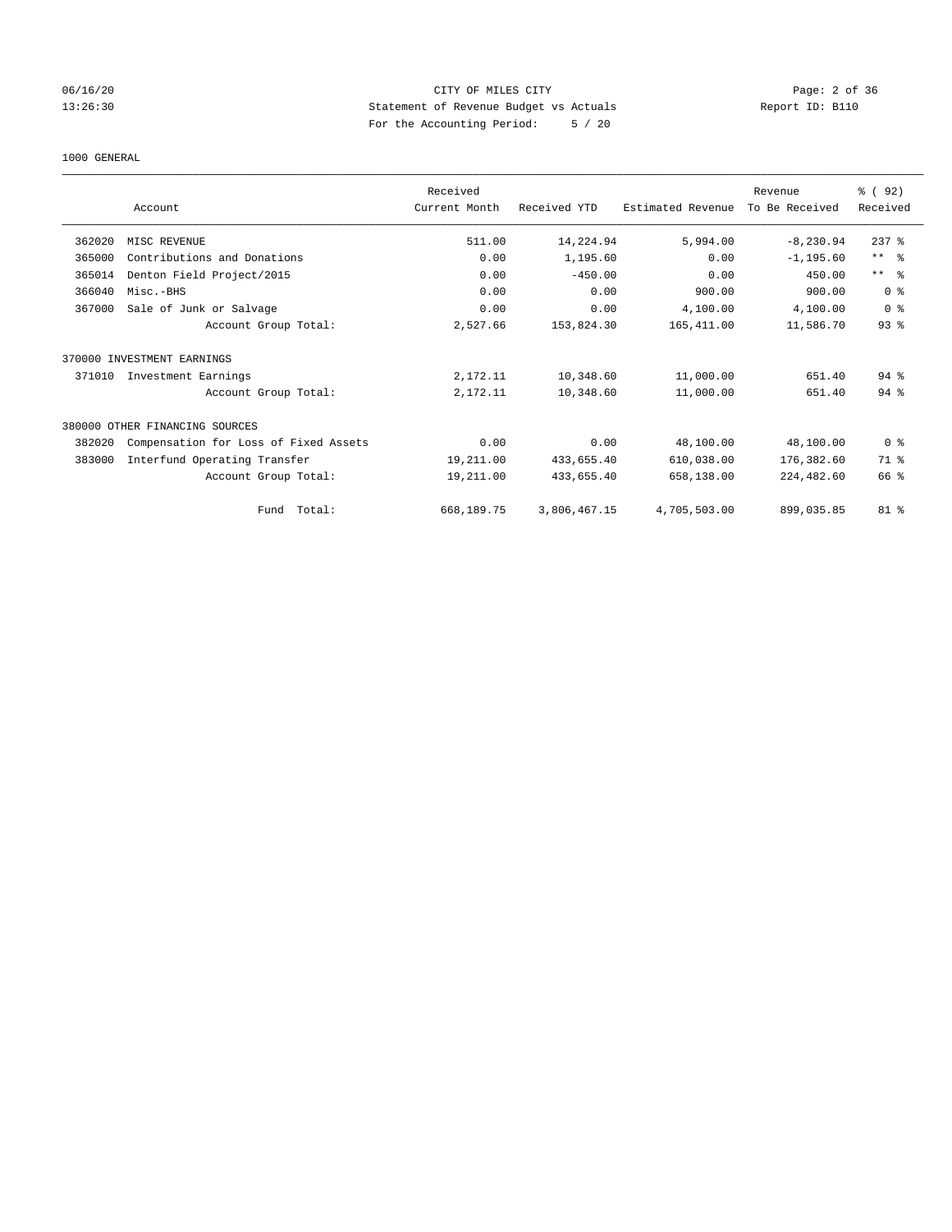## 06/16/20 CITY OF MILES CITY Page: 2 of 36 13:26:30 Statement of Revenue Budget vs Actuals Report ID: B110 For the Accounting Period: 5 / 20

#### 1000 GENERAL

|        |                                       | Received      |              |                   | Revenue        | 8 (92)         |
|--------|---------------------------------------|---------------|--------------|-------------------|----------------|----------------|
|        | Account                               | Current Month | Received YTD | Estimated Revenue | To Be Received | Received       |
| 362020 | MISC REVENUE                          | 511.00        | 14,224.94    | 5,994.00          | $-8, 230.94$   | $237$ $%$      |
| 365000 | Contributions and Donations           | 0.00          | 1,195.60     | 0.00              | $-1, 195.60$   | $***$ $=$      |
| 365014 | Denton Field Project/2015             | 0.00          | $-450.00$    | 0.00              | 450.00         | $***$ $ -$     |
| 366040 | Misc.-BHS                             | 0.00          | 0.00         | 900.00            | 900.00         | 0 <sup>8</sup> |
| 367000 | Sale of Junk or Salvage               | 0.00          | 0.00         | 4,100.00          | 4,100.00       | 0 <sup>8</sup> |
|        | Account Group Total:                  | 2,527.66      | 153,824.30   | 165,411.00        | 11,586.70      | 93%            |
|        | 370000 INVESTMENT EARNINGS            |               |              |                   |                |                |
| 371010 | Investment Earnings                   | 2,172.11      | 10,348.60    | 11,000.00         | 651.40         | $94$ $%$       |
|        | Account Group Total:                  | 2,172.11      | 10,348.60    | 11,000.00         | 651.40         | $94$ %         |
|        | 380000 OTHER FINANCING SOURCES        |               |              |                   |                |                |
| 382020 | Compensation for Loss of Fixed Assets | 0.00          | 0.00         | 48,100.00         | 48,100.00      | 0 <sup>8</sup> |
| 383000 | Interfund Operating Transfer          | 19,211.00     | 433,655.40   | 610,038.00        | 176,382.60     | 71 %           |
|        | Account Group Total:                  | 19,211.00     | 433,655.40   | 658,138.00        | 224,482.60     | 66 %           |
|        | Total:<br>Fund                        | 668,189.75    | 3,806,467.15 | 4,705,503.00      | 899,035.85     | 81 %           |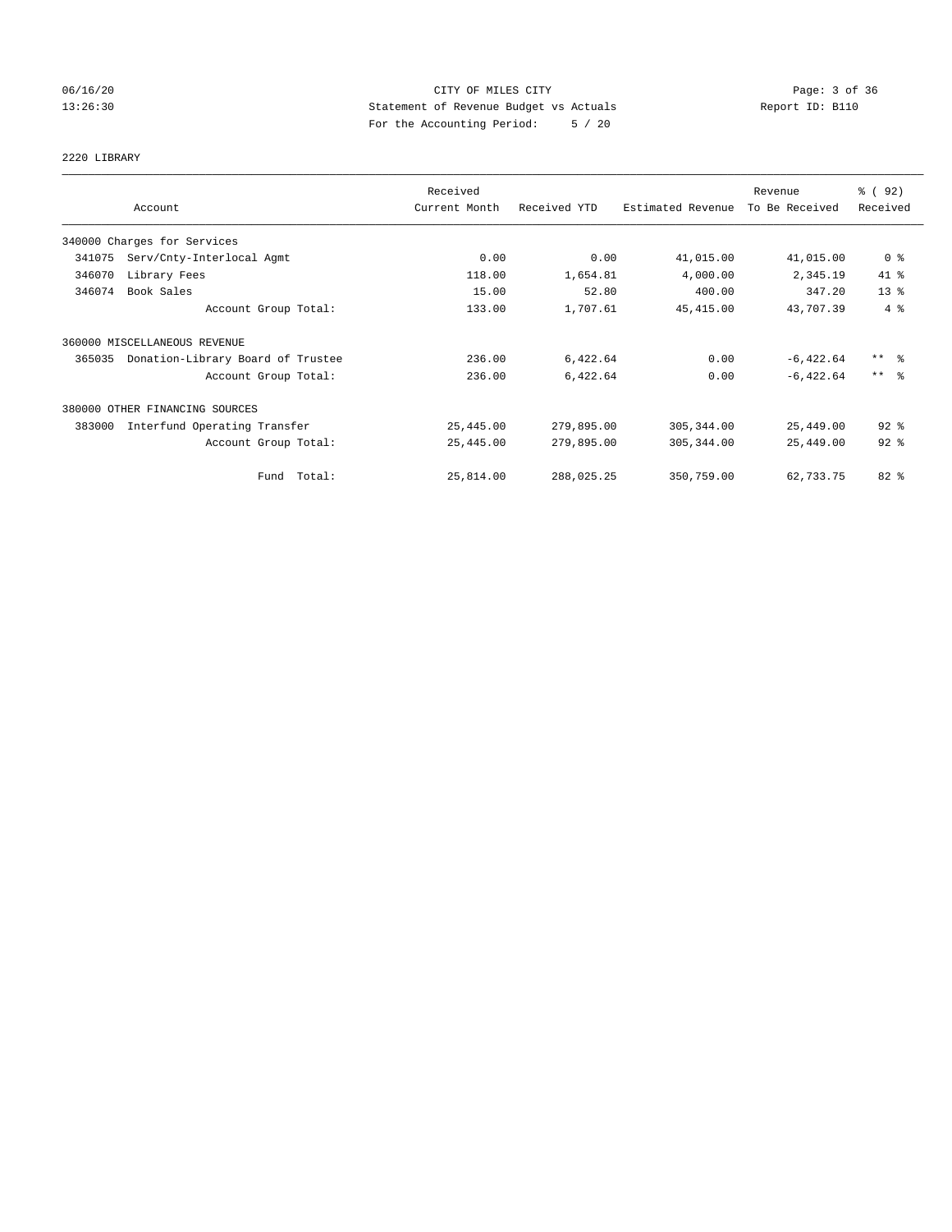# 06/16/20 CITY OF MILES CITY Page: 3 of 36 13:26:30 Statement of Revenue Budget vs Actuals Report ID: B110 For the Accounting Period: 5 / 20

#### 2220 LIBRARY

|        |                                   | Received      |              |                   | Revenue        | % (92)              |
|--------|-----------------------------------|---------------|--------------|-------------------|----------------|---------------------|
|        | Account                           | Current Month | Received YTD | Estimated Revenue | To Be Received | Received            |
|        | 340000 Charges for Services       |               |              |                   |                |                     |
| 341075 | Serv/Cnty-Interlocal Agmt         | 0.00          | 0.00         | 41,015.00         | 41,015.00      | 0 <sup>8</sup>      |
| 346070 | Library Fees                      | 118.00        | 1,654.81     | 4,000.00          | 2,345.19       | 41 %                |
| 346074 | Book Sales                        | 15.00         | 52.80        | 400.00            | 347.20         | 13 <sup>8</sup>     |
|        | Account Group Total:              | 133.00        | 1,707.61     | 45, 415.00        | 43,707.39      | 4%                  |
|        | 360000 MISCELLANEOUS REVENUE      |               |              |                   |                |                     |
| 365035 | Donation-Library Board of Trustee | 236.00        | 6,422.64     | 0.00              | $-6,422.64$    | $***$ $\frac{6}{5}$ |
|        | Account Group Total:              | 236.00        | 6,422.64     | 0.00              | $-6, 422.64$   | $***$ $\frac{6}{5}$ |
|        | 380000 OTHER FINANCING SOURCES    |               |              |                   |                |                     |
| 383000 | Interfund Operating Transfer      | 25,445.00     | 279,895.00   | 305, 344.00       | 25,449.00      | $92$ $%$            |
|        | Account Group Total:              | 25,445.00     | 279,895.00   | 305, 344.00       | 25,449.00      | $92$ $%$            |
|        | Fund Total:                       | 25,814.00     | 288,025.25   | 350,759.00        | 62,733.75      | $82$ $%$            |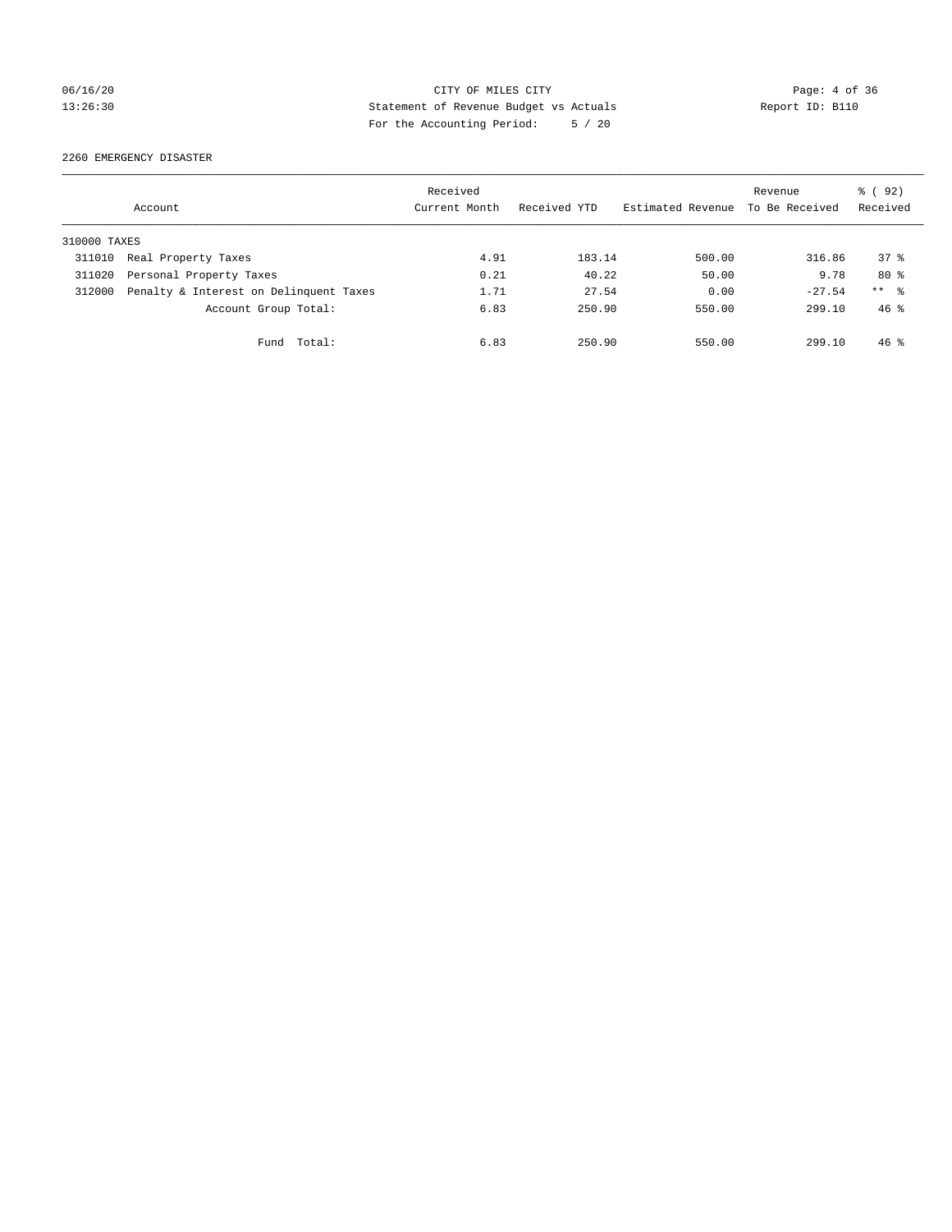## 06/16/20 CITY OF MILES CITY Page: 4 of 36 13:26:30 Statement of Revenue Budget vs Actuals Report ID: B110 For the Accounting Period: 5 / 20

2260 EMERGENCY DISASTER

|              | Account                                | Received<br>Current Month | Received YTD | Estimated Revenue | Revenue<br>To Be Received | % ( 92 )<br>Received |
|--------------|----------------------------------------|---------------------------|--------------|-------------------|---------------------------|----------------------|
| 310000 TAXES |                                        |                           |              |                   |                           |                      |
| 311010       | Real Property Taxes                    | 4.91                      | 183.14       | 500.00            | 316.86                    | 378                  |
| 311020       | Personal Property Taxes                | 0.21                      | 40.22        | 50.00             | 9.78                      | $80*$                |
| 312000       | Penalty & Interest on Delinquent Taxes | 1.71                      | 27.54        | 0.00              | $-27.54$                  | ** %                 |
|              | Account Group Total:                   | 6.83                      | 250.90       | 550.00            | 299.10                    | $46*$                |
|              | Total:<br>Fund                         | 6.83                      | 250.90       | 550.00            | 299.10                    | $46*$                |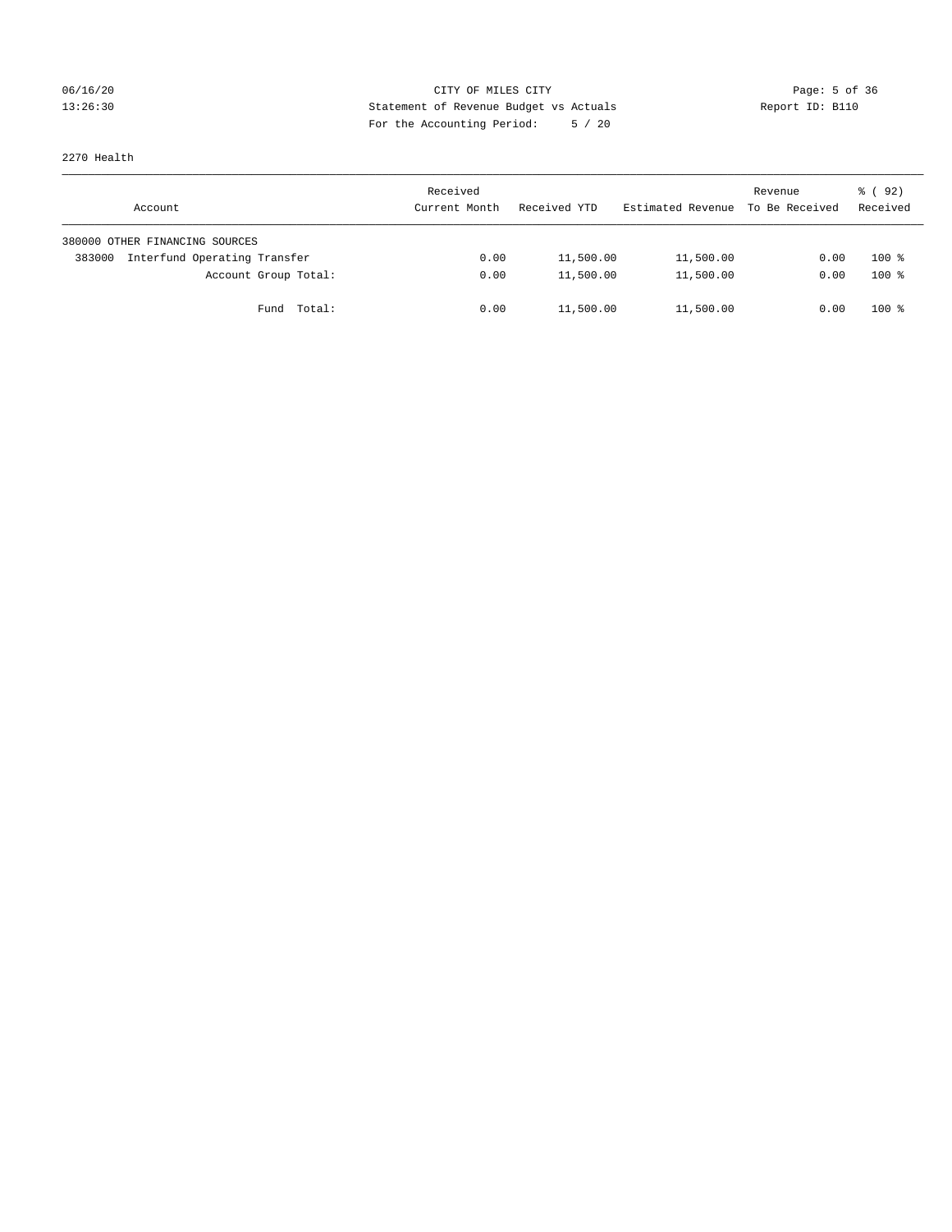# 06/16/20 CITY OF MILES CITY Page: 5 of 36 13:26:30 Statement of Revenue Budget vs Actuals Report ID: B110 For the Accounting Period: 5 / 20

2270 Health

| Account                                | Received<br>Current Month | Received YTD | Estimated Revenue | Revenue<br>To Be Received | 8 (92)<br>Received |
|----------------------------------------|---------------------------|--------------|-------------------|---------------------------|--------------------|
| 380000 OTHER FINANCING SOURCES         |                           |              |                   |                           |                    |
| Interfund Operating Transfer<br>383000 | 0.00                      | 11,500.00    | 11,500.00         | 0.00                      | $100*$             |
| Account Group Total:                   | 0.00                      | 11,500.00    | 11,500.00         | 0.00                      | $100*$             |
| Total:<br>Fund                         | 0.00                      | 11,500.00    | 11,500.00         | 0.00                      | $100*$             |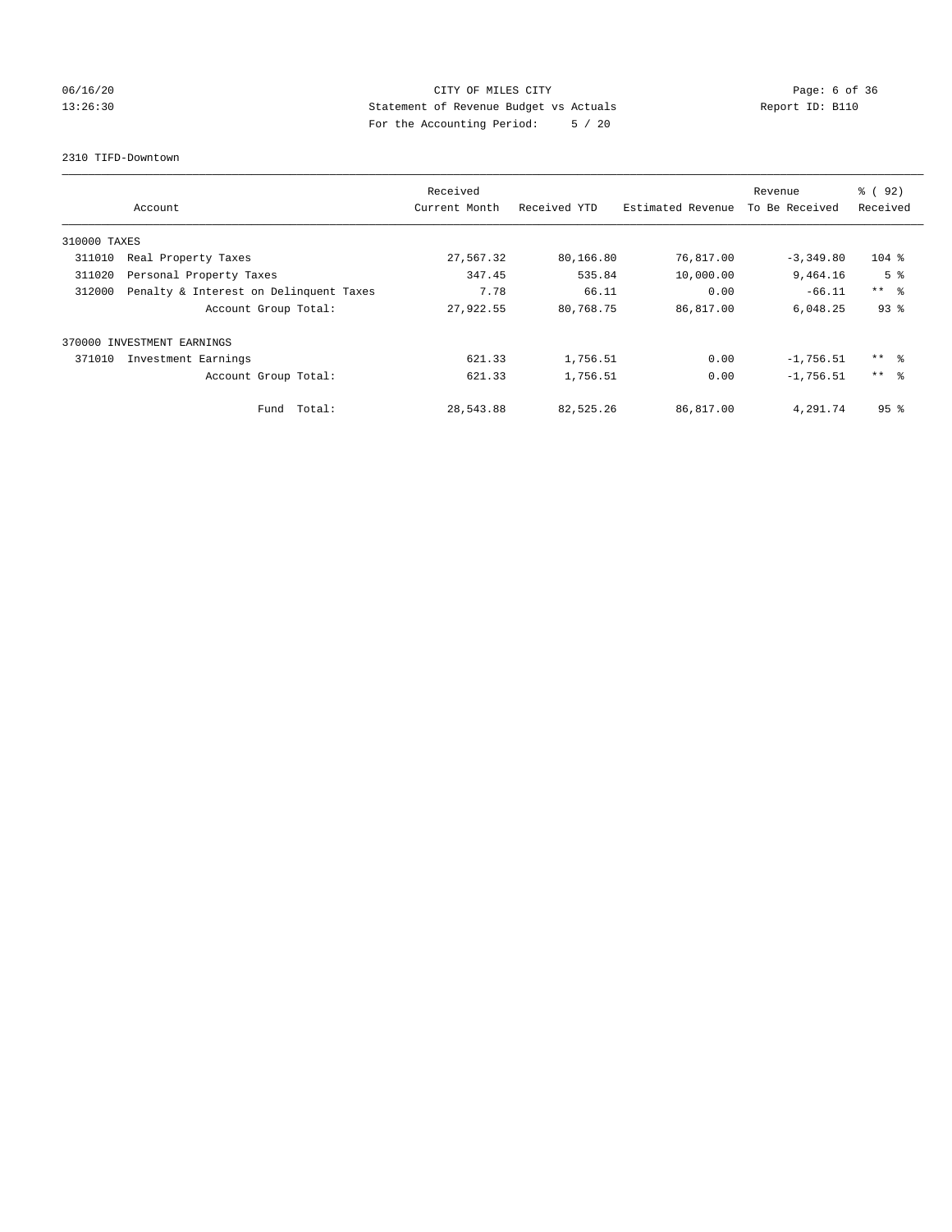# 06/16/20 CITY OF MILES CITY Page: 6 of 36 13:26:30 Statement of Revenue Budget vs Actuals Report ID: B110 For the Accounting Period: 5 / 20

2310 TIFD-Downtown

|              | Account                                | Received<br>Current Month | Received YTD | Estimated Revenue | Revenue<br>To Be Received | % (92)<br>Received |
|--------------|----------------------------------------|---------------------------|--------------|-------------------|---------------------------|--------------------|
| 310000 TAXES |                                        |                           |              |                   |                           |                    |
| 311010       | Real Property Taxes                    | 27,567.32                 | 80,166.80    | 76,817.00         | $-3,349.80$               | $104$ %            |
| 311020       | Personal Property Taxes                | 347.45                    | 535.84       | 10,000.00         | 9,464.16                  | 5 <sup>8</sup>     |
| 312000       | Penalty & Interest on Delinquent Taxes | 7.78                      | 66.11        | 0.00              | $-66.11$                  | $***$ $\approx$    |
|              | Account Group Total:                   | 27,922.55                 | 80,768.75    | 86,817.00         | 6,048.25                  | 93%                |
|              | 370000 INVESTMENT EARNINGS             |                           |              |                   |                           |                    |
| 371010       | Investment Earnings                    | 621.33                    | 1,756.51     | 0.00              | $-1,756.51$               | ** 8               |
|              | Account Group Total:                   | 621.33                    | 1,756.51     | 0.00              | $-1,756.51$               | $***$ $\approx$    |
|              | Fund Total:                            | 28,543.88                 | 82,525.26    | 86,817.00         | 4,291.74                  | 95 <sup>8</sup>    |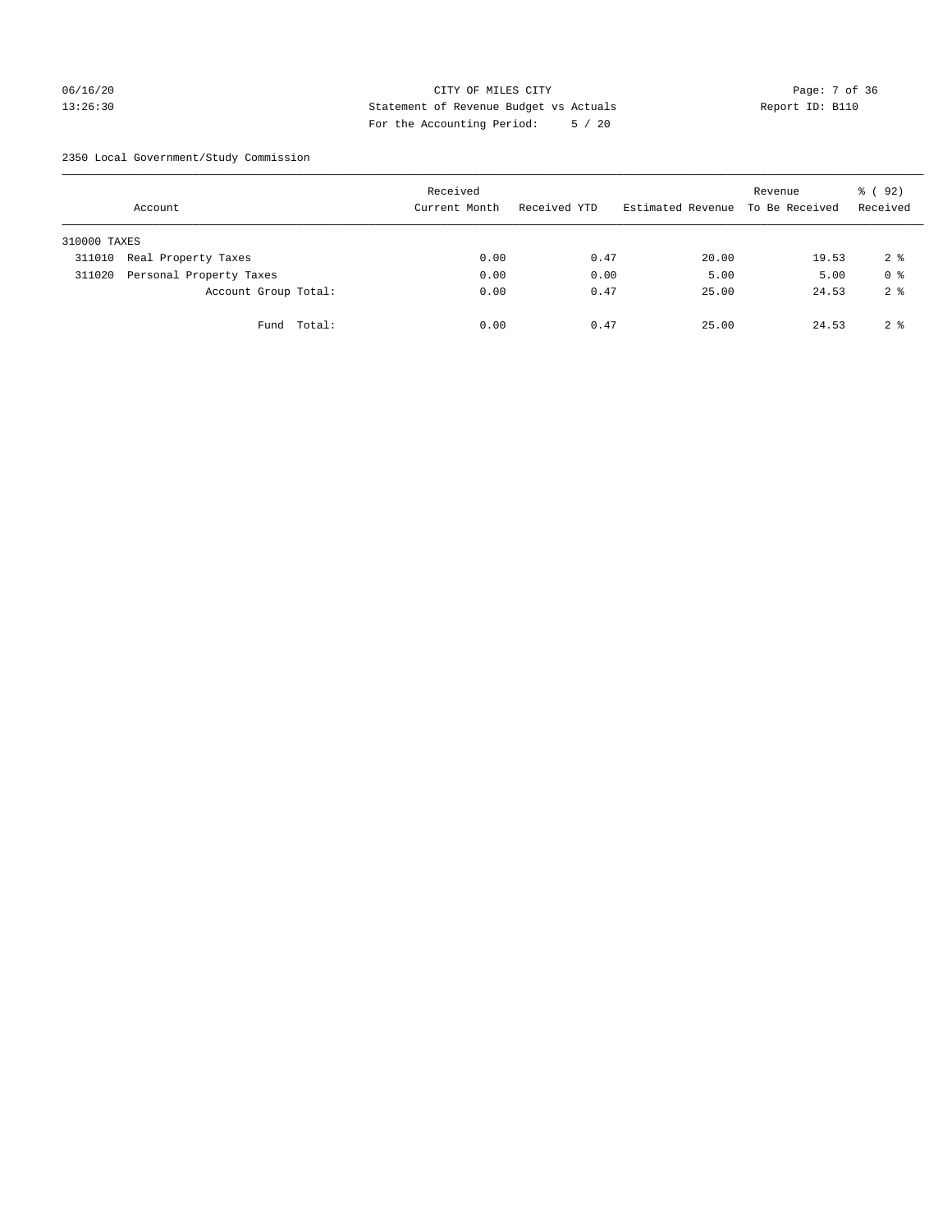## 06/16/20 CITY OF MILES CITY Page: 7 of 36 13:26:30 Statement of Revenue Budget vs Actuals Report ID: B110 For the Accounting Period: 5 / 20

2350 Local Government/Study Commission

|              | Account                 |             | Received<br>Current Month |      | Received YTD | Estimated Revenue | Revenue<br>To Be Received | % ( 92 )<br>Received |
|--------------|-------------------------|-------------|---------------------------|------|--------------|-------------------|---------------------------|----------------------|
| 310000 TAXES |                         |             |                           |      |              |                   |                           |                      |
| 311010       | Real Property Taxes     |             |                           | 0.00 | 0.47         | 20.00             | 19.53                     | 2 <sup>8</sup>       |
| 311020       | Personal Property Taxes |             |                           | 0.00 | 0.00         | 5.00              | 5.00                      | 0 <sup>8</sup>       |
|              | Account Group Total:    |             |                           | 0.00 | 0.47         | 25.00             | 24.53                     | 2 <sup>8</sup>       |
|              |                         | Fund Total: |                           | 0.00 | 0.47         | 25.00             | 24.53                     | 2 <sup>8</sup>       |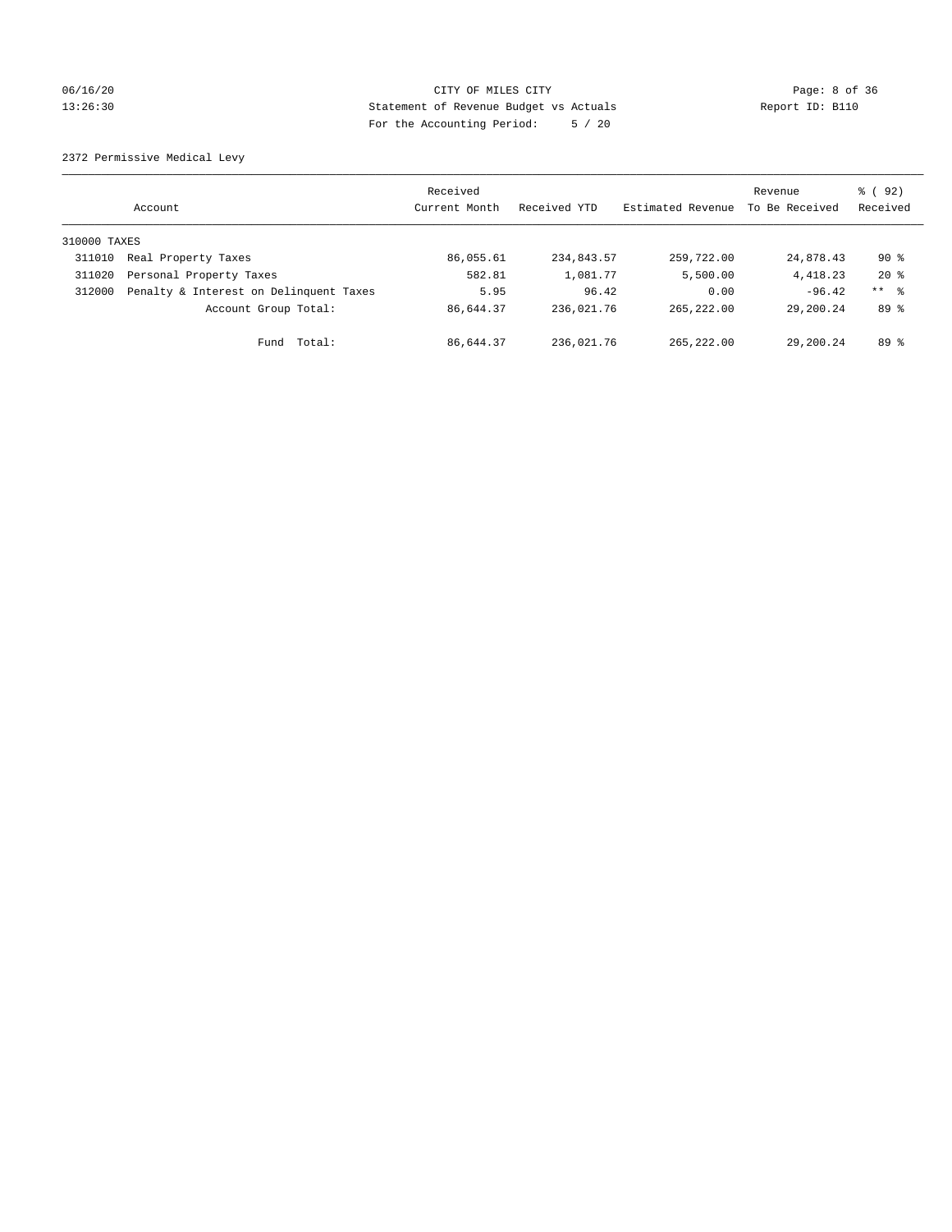## 06/16/20 CITY OF MILES CITY Page: 8 of 36 13:26:30 Statement of Revenue Budget vs Actuals Report ID: B110 For the Accounting Period: 5 / 20

2372 Permissive Medical Levy

|              | Account                                | Received<br>Current Month | Received YTD | Estimated Revenue | Revenue<br>To Be Received | 8 (92)<br>Received  |
|--------------|----------------------------------------|---------------------------|--------------|-------------------|---------------------------|---------------------|
| 310000 TAXES |                                        |                           |              |                   |                           |                     |
| 311010       | Real Property Taxes                    | 86,055.61                 | 234,843.57   | 259,722.00        | 24,878.43                 | $90*$               |
| 311020       | Personal Property Taxes                | 582.81                    | 1,081.77     | 5,500.00          | 4, 418.23                 | $20*$               |
| 312000       | Penalty & Interest on Delinquent Taxes | 5.95                      | 96.42        | 0.00              | $-96.42$                  | $***$ $\frac{6}{5}$ |
|              | Account Group Total:                   | 86,644.37                 | 236,021.76   | 265, 222, 00      | 29,200.24                 | 89 %                |
|              | Total:<br>Fund                         | 86,644.37                 | 236,021.76   | 265, 222, 00      | 29,200.24                 | 89 %                |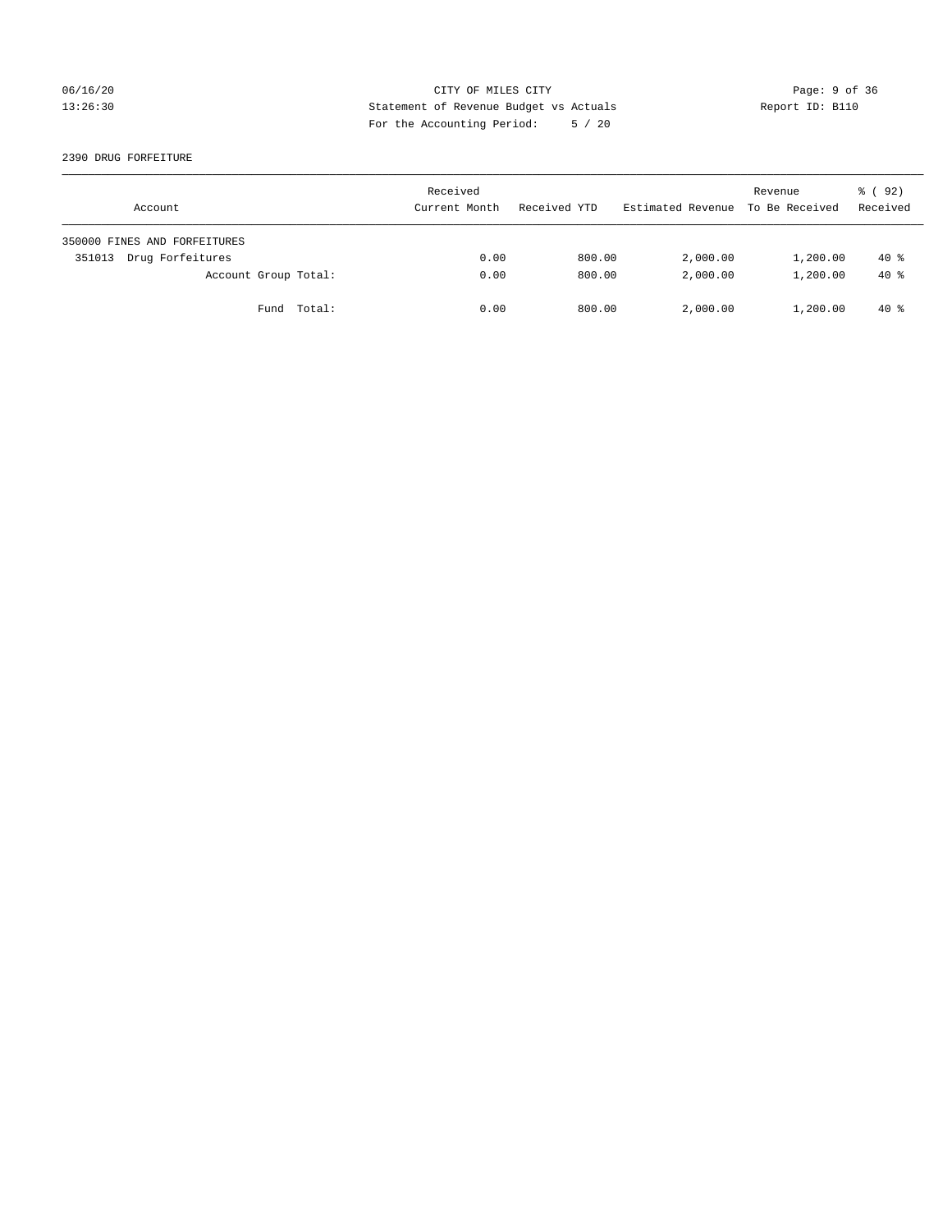## 06/16/20 CITY OF MILES CITY Page: 9 of 36 13:26:30 Statement of Revenue Budget vs Actuals Report ID: B110 For the Accounting Period: 5 / 20

#### 2390 DRUG FORFEITURE

| Account                      | Received<br>Current Month | Received YTD | Estimated Revenue | Revenue<br>To Be Received | 8 (92)<br>Received |
|------------------------------|---------------------------|--------------|-------------------|---------------------------|--------------------|
| 350000 FINES AND FORFEITURES |                           |              |                   |                           |                    |
| Drug Forfeitures<br>351013   | 0.00                      | 800.00       | 2,000.00          | 1,200.00                  | $40*$              |
| Account Group Total:         | 0.00                      | 800.00       | 2,000.00          | 1,200.00                  | $40*$              |
| Fund Total:                  | 0.00                      | 800.00       | 2,000.00          | 1,200.00                  | $40*$              |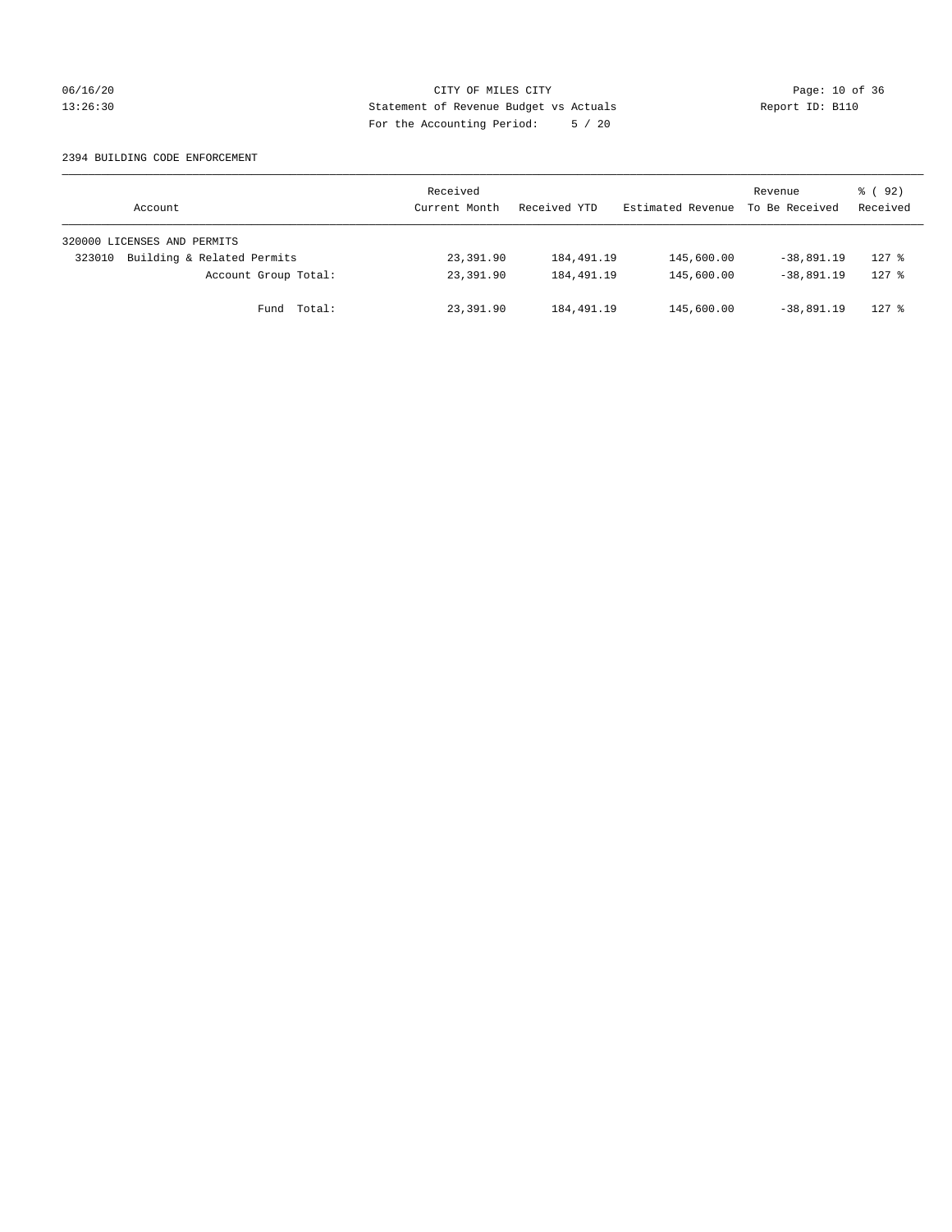## 06/16/20 Page: 10 of 36 13:26:30 Statement of Revenue Budget vs Actuals Report ID: B110 For the Accounting Period: 5 / 20

#### 2394 BUILDING CODE ENFORCEMENT

| Account                              | Received<br>Current Month | Received YTD | Estimated Revenue | Revenue<br>To Be Received | 8 (92)<br>Received |
|--------------------------------------|---------------------------|--------------|-------------------|---------------------------|--------------------|
| 320000 LICENSES AND PERMITS          |                           |              |                   |                           |                    |
| Building & Related Permits<br>323010 | 23,391.90                 | 184,491.19   | 145,600.00        | $-38.891.19$              | $127$ %            |
| Account Group Total:                 | 23,391.90                 | 184,491.19   | 145,600.00        | $-38.891.19$              | $127$ $%$          |
| Fund Total:                          | 23,391.90                 | 184,491.19   | 145,600.00        | $-38.891.19$              | $127$ %            |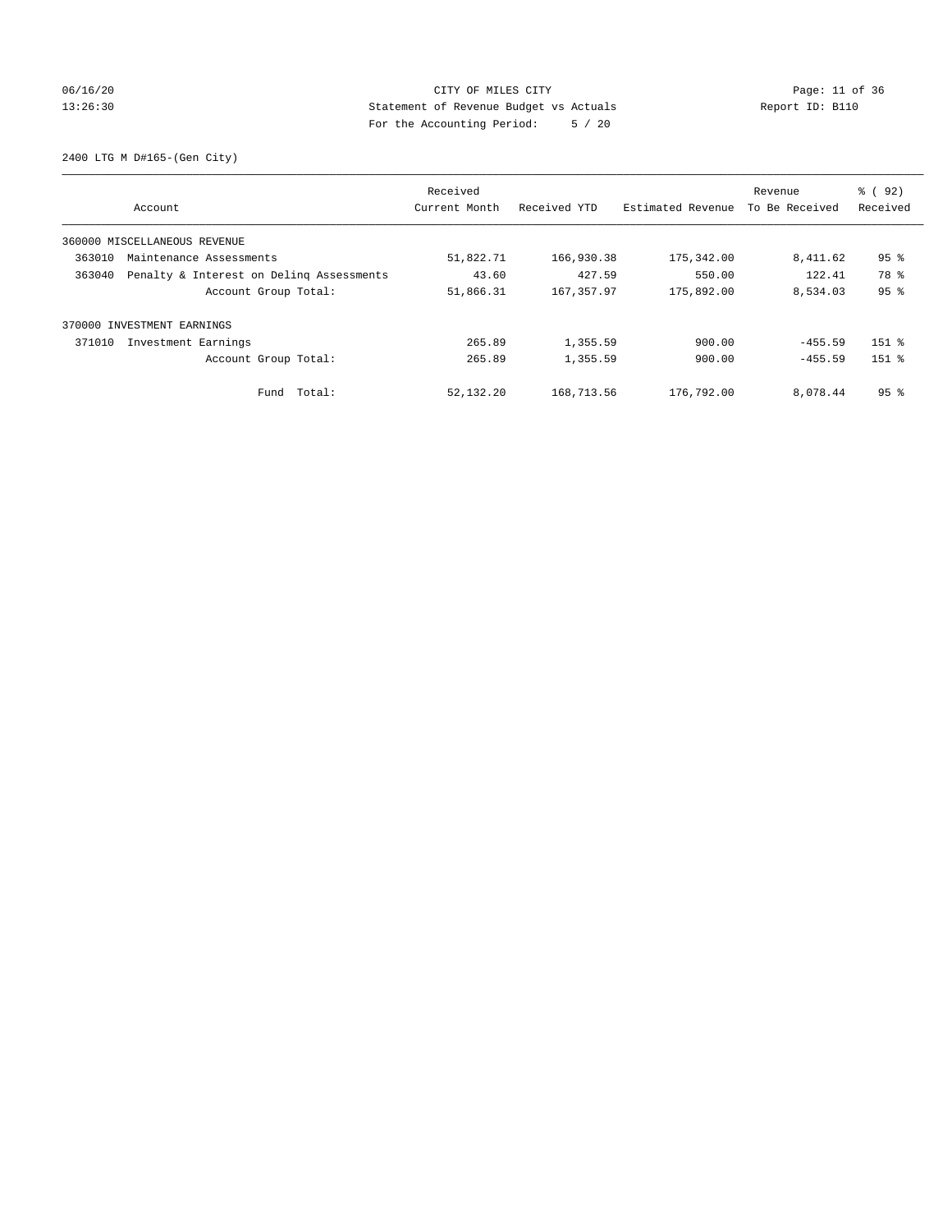## 06/16/20 Page: 11 of 36 13:26:30 Statement of Revenue Budget vs Actuals Report ID: B110 For the Accounting Period: 5 / 20

2400 LTG M D#165-(Gen City)

|        | Account                                  | Received<br>Current Month | Received YTD | Estimated Revenue | Revenue<br>To Be Received | % (92)<br>Received |
|--------|------------------------------------------|---------------------------|--------------|-------------------|---------------------------|--------------------|
|        | 360000 MISCELLANEOUS REVENUE             |                           |              |                   |                           |                    |
| 363010 | Maintenance Assessments                  | 51,822.71                 | 166,930.38   | 175,342.00        | 8,411.62                  | 95 <sup>8</sup>    |
| 363040 | Penalty & Interest on Deling Assessments | 43.60                     | 427.59       | 550.00            | 122.41                    | 78 %               |
|        | Account Group Total:                     | 51,866.31                 | 167,357.97   | 175,892.00        | 8,534.03                  | 95%                |
| 370000 | INVESTMENT EARNINGS                      |                           |              |                   |                           |                    |
| 371010 | Investment Earnings                      | 265.89                    | 1,355.59     | 900.00            | $-455.59$                 | $151$ %            |
|        | Account Group Total:                     | 265.89                    | 1,355.59     | 900.00            | $-455.59$                 | $151$ $%$          |
|        | Fund Total:                              | 52,132.20                 | 168,713.56   | 176,792.00        | 8,078.44                  | 95 <sup>8</sup>    |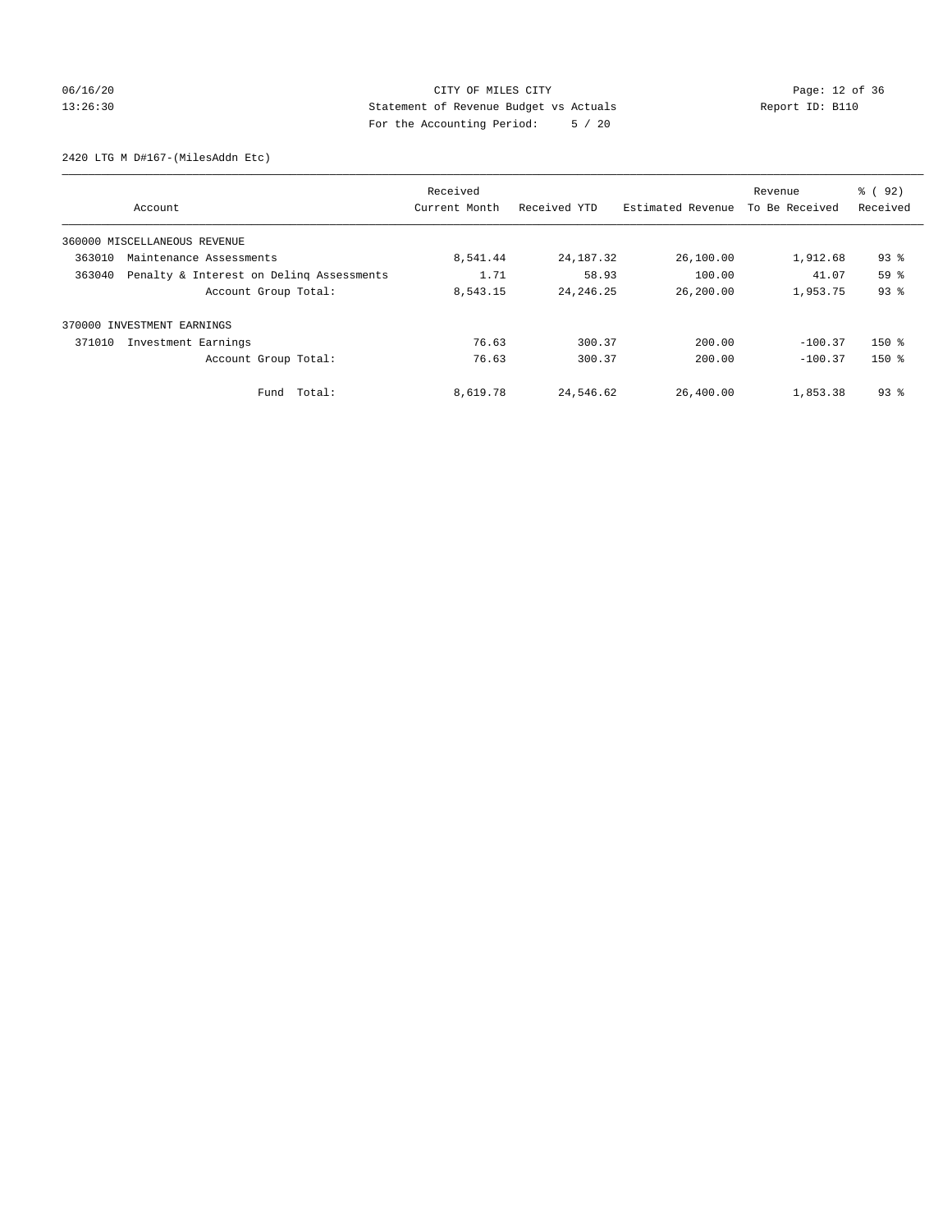## 06/16/20 Page: 12 of 36 13:26:30 Statement of Revenue Budget vs Actuals Report ID: B110 For the Accounting Period: 5 / 20

2420 LTG M D#167-(MilesAddn Etc)

|        |                                          | Received      |              |                   | Revenue        | 8 ( 92)  |
|--------|------------------------------------------|---------------|--------------|-------------------|----------------|----------|
|        | Account                                  | Current Month | Received YTD | Estimated Revenue | To Be Received | Received |
|        | 360000 MISCELLANEOUS REVENUE             |               |              |                   |                |          |
| 363010 | Maintenance Assessments                  | 8,541.44      | 24, 187. 32  | 26,100.00         | 1,912.68       | $93$ $%$ |
| 363040 | Penalty & Interest on Deling Assessments | 1.71          | 58.93        | 100.00            | 41.07          | 59 %     |
|        | Account Group Total:                     | 8,543.15      | 24, 246. 25  | 26,200.00         | 1,953.75       | 93%      |
|        | 370000 INVESTMENT EARNINGS               |               |              |                   |                |          |
| 371010 | Investment Earnings                      | 76.63         | 300.37       | 200.00            | $-100.37$      | $150*$   |
|        | Account Group Total:                     | 76.63         | 300.37       | 200.00            | $-100.37$      | $150*$   |
|        | Fund Total:                              | 8,619.78      | 24,546.62    | 26,400.00         | 1,853.38       | $93$ $%$ |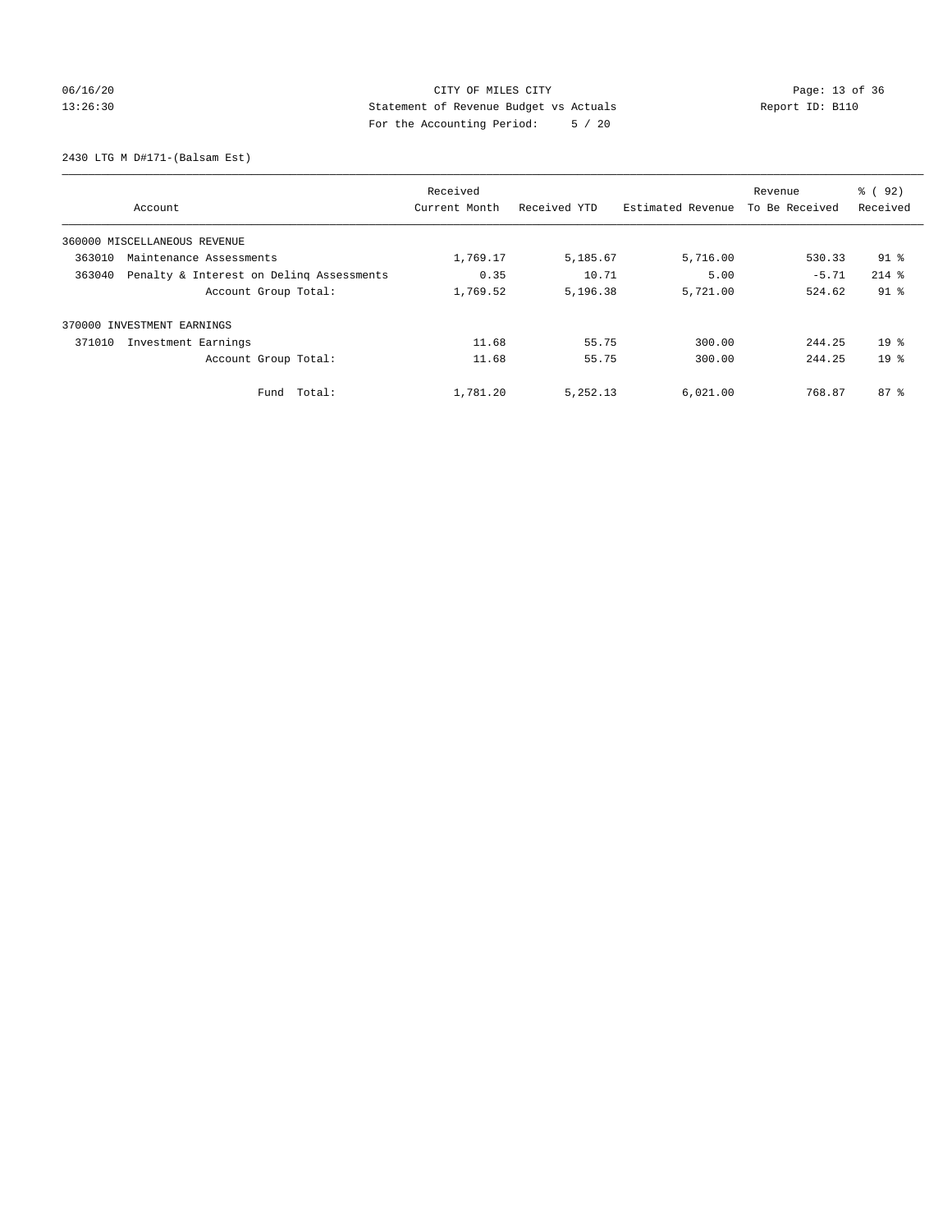## 06/16/20 Page: 13 of 36 13:26:30 Statement of Revenue Budget vs Actuals Report ID: B110 For the Accounting Period: 5 / 20

2430 LTG M D#171-(Balsam Est)

|                                                    | Received      |              |                   | Revenue        | % (92)          |
|----------------------------------------------------|---------------|--------------|-------------------|----------------|-----------------|
| Account                                            | Current Month | Received YTD | Estimated Revenue | To Be Received | Received        |
| 360000 MISCELLANEOUS REVENUE                       |               |              |                   |                |                 |
| 363010<br>Maintenance Assessments                  | 1,769.17      | 5,185.67     | 5,716.00          | 530.33         | $91$ $%$        |
| 363040<br>Penalty & Interest on Deling Assessments | 0.35          | 10.71        | 5.00              | $-5.71$        | $214$ $%$       |
| Account Group Total:                               | 1,769.52      | 5,196.38     | 5,721.00          | 524.62         | $91$ %          |
| 370000 INVESTMENT EARNINGS                         |               |              |                   |                |                 |
| Investment Earnings<br>371010                      | 11.68         | 55.75        | 300.00            | 244.25         | 19 <sup>8</sup> |
| Account Group Total:                               | 11.68         | 55.75        | 300.00            | 244.25         | 19 <sup>°</sup> |
| Total:<br>Fund                                     | 1,781.20      | 5,252.13     | 6,021.00          | 768.87         | $87*$           |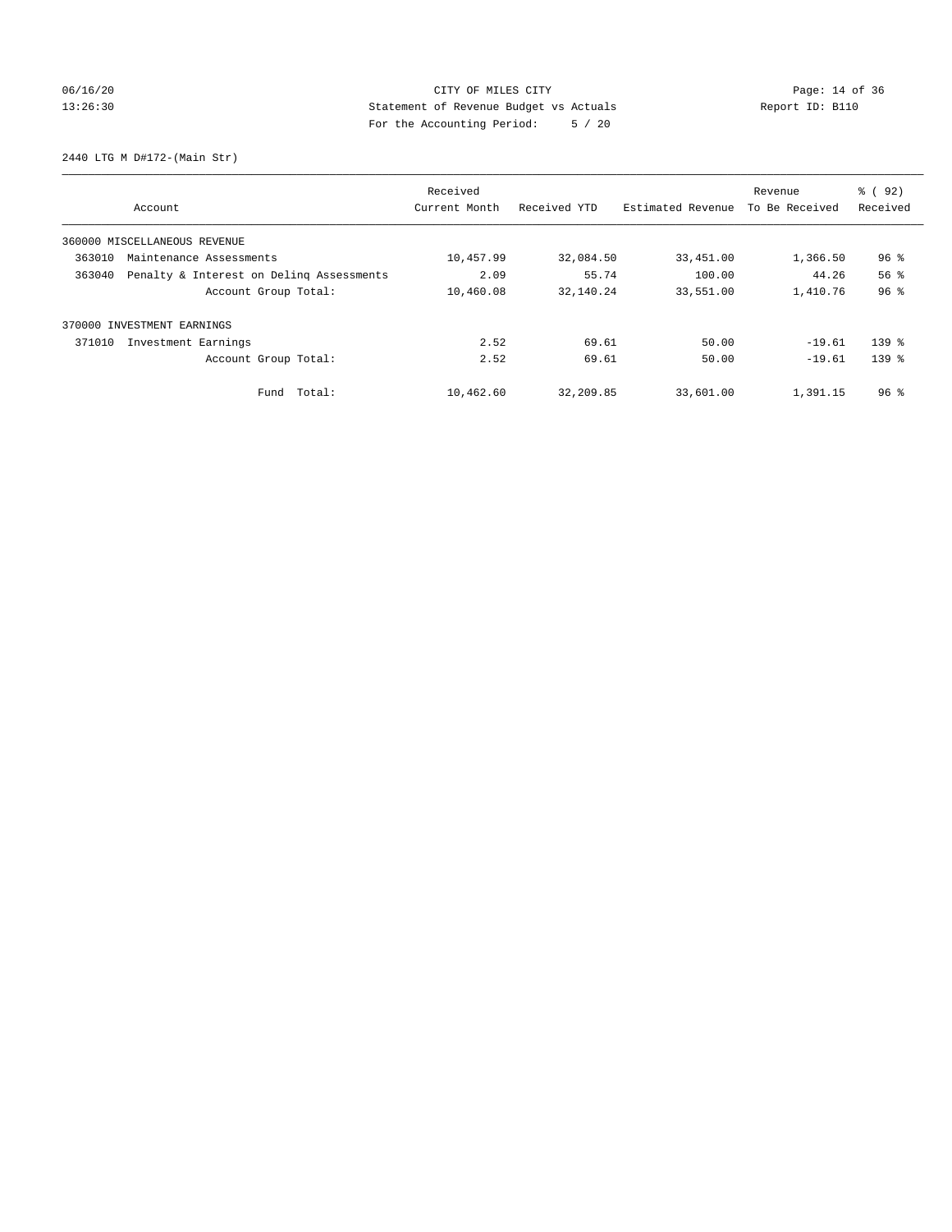# 06/16/20 Page: 14 of 36 13:26:30 Statement of Revenue Budget vs Actuals Report ID: B110 For the Accounting Period: 5 / 20

2440 LTG M D#172-(Main Str)

|        | Account                                  | Received<br>Current Month | Received YTD | Estimated Revenue | Revenue<br>To Be Received | % (92)<br>Received |
|--------|------------------------------------------|---------------------------|--------------|-------------------|---------------------------|--------------------|
|        | 360000 MISCELLANEOUS REVENUE             |                           |              |                   |                           |                    |
| 363010 | Maintenance Assessments                  | 10,457.99                 | 32,084.50    | 33,451.00         | 1,366.50                  | $96$ %             |
| 363040 | Penalty & Interest on Deling Assessments | 2.09                      | 55.74        | 100.00            | 44.26                     | 56 <sup>8</sup>    |
|        | Account Group Total:                     | 10,460.08                 | 32,140.24    | 33,551.00         | 1,410.76                  | 96%                |
| 370000 | INVESTMENT EARNINGS                      |                           |              |                   |                           |                    |
| 371010 | Investment Earnings                      | 2.52                      | 69.61        | 50.00             | $-19.61$                  | $139$ $%$          |
|        | Account Group Total:                     | 2.52                      | 69.61        | 50.00             | $-19.61$                  | 139 <sub>8</sub>   |
|        | Fund Total:                              | 10,462.60                 | 32,209.85    | 33,601.00         | 1,391.15                  | $96$ %             |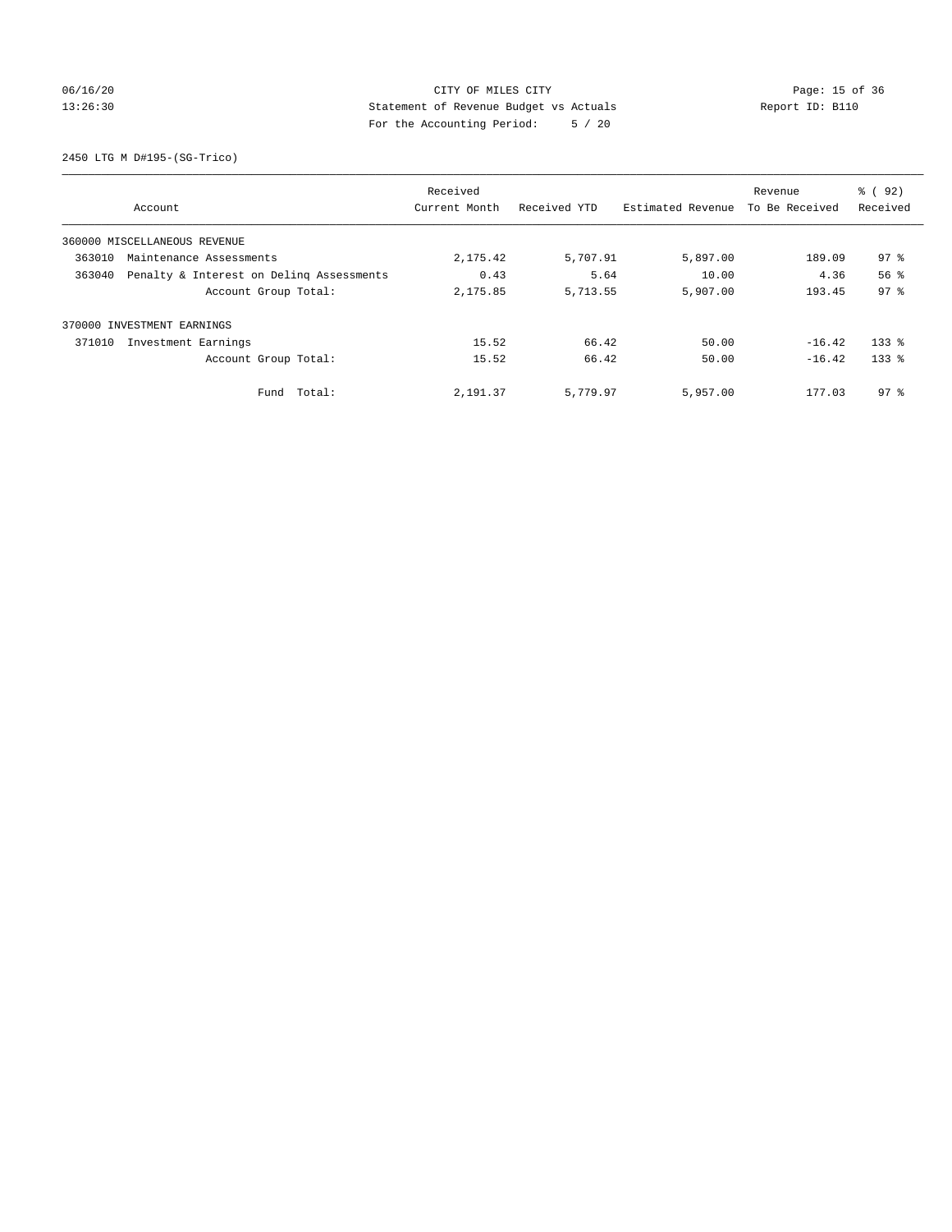## 06/16/20 Page: 15 of 36 13:26:30 Statement of Revenue Budget vs Actuals Report ID: B110 For the Accounting Period: 5 / 20

2450 LTG M D#195-(SG-Trico)

|        |                                          | Received      |              |                   | Revenue        | % ( 92 )        |
|--------|------------------------------------------|---------------|--------------|-------------------|----------------|-----------------|
|        | Account                                  | Current Month | Received YTD | Estimated Revenue | To Be Received | Received        |
|        | 360000 MISCELLANEOUS REVENUE             |               |              |                   |                |                 |
| 363010 | Maintenance Assessments                  | 2,175.42      | 5,707.91     | 5,897.00          | 189.09         | $97$ %          |
| 363040 | Penalty & Interest on Deling Assessments | 0.43          | 5.64         | 10.00             | 4.36           | 56 <sup>8</sup> |
|        | Account Group Total:                     | 2,175.85      | 5,713.55     | 5,907.00          | 193.45         | 97 <sup>8</sup> |
|        | 370000 INVESTMENT EARNINGS               |               |              |                   |                |                 |
| 371010 | Investment Earnings                      | 15.52         | 66.42        | 50.00             | $-16.42$       | $133$ $%$       |
|        | Account Group Total:                     | 15.52         | 66.42        | 50.00             | $-16.42$       | $133$ $%$       |
|        | Fund Total:                              | 2,191.37      | 5,779.97     | 5,957.00          | 177.03         | 97 <sub>8</sub> |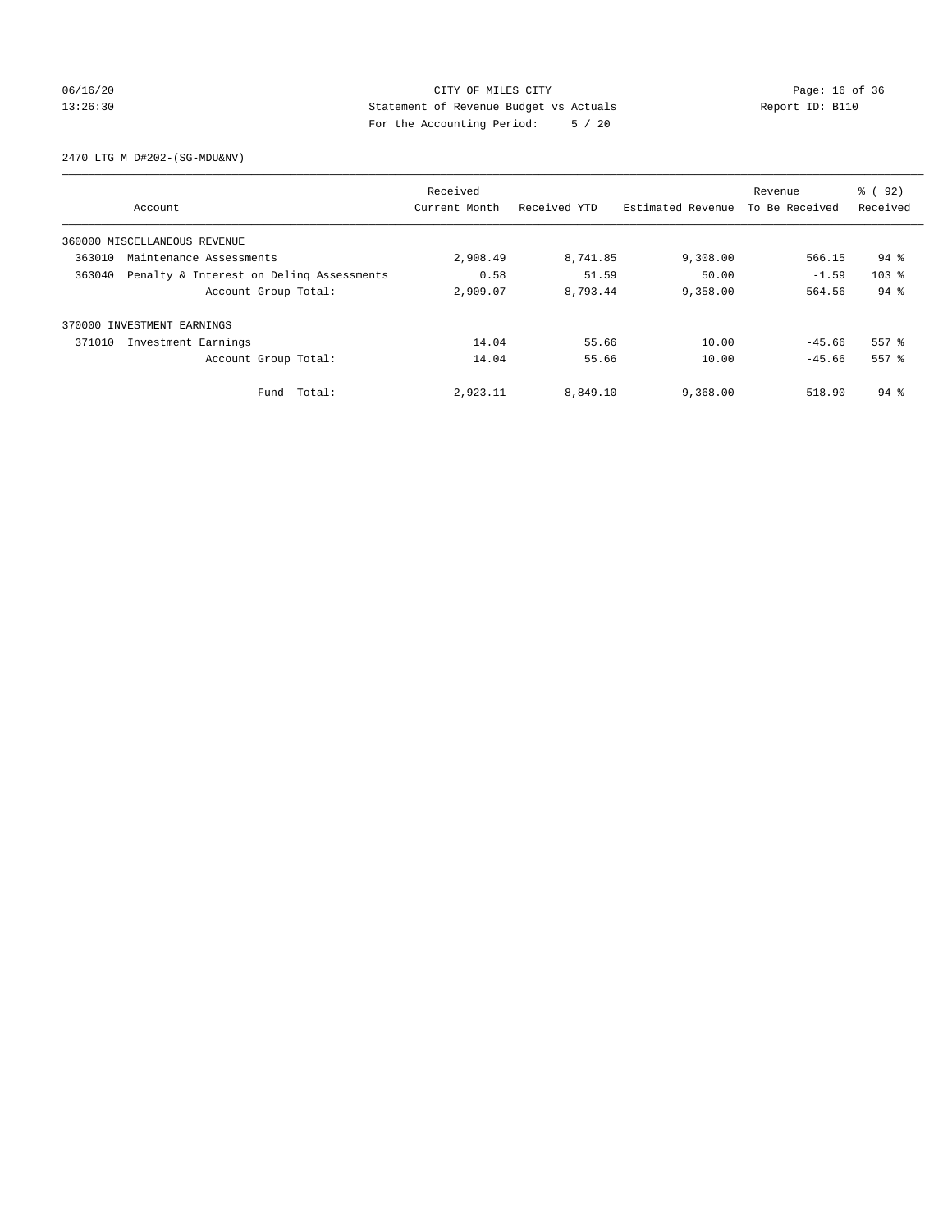## 06/16/20 Page: 16 of 36 13:26:30 Statement of Revenue Budget vs Actuals Report ID: B110 For the Accounting Period: 5 / 20

2470 LTG M D#202-(SG-MDU&NV)

|        |                                          | Received      |              |                   | Revenue        | % ( 92 )         |
|--------|------------------------------------------|---------------|--------------|-------------------|----------------|------------------|
|        | Account                                  | Current Month | Received YTD | Estimated Revenue | To Be Received | Received         |
|        | 360000 MISCELLANEOUS REVENUE             |               |              |                   |                |                  |
| 363010 | Maintenance Assessments                  | 2,908.49      | 8,741.85     | 9,308.00          | 566.15         | $94$ %           |
| 363040 | Penalty & Interest on Deling Assessments | 0.58          | 51.59        | 50.00             | $-1.59$        | 103 <sub>8</sub> |
|        | Account Group Total:                     | 2,909.07      | 8,793.44     | 9,358.00          | 564.56         | $94$ $%$         |
|        | 370000 INVESTMENT EARNINGS               |               |              |                   |                |                  |
| 371010 | Investment Earnings                      | 14.04         | 55.66        | 10.00             | $-45.66$       | 557 %            |
|        | Account Group Total:                     | 14.04         | 55.66        | 10.00             | $-45.66$       | 557 %            |
|        | Fund Total:                              | 2,923.11      | 8,849.10     | 9,368.00          | 518.90         | 94 %             |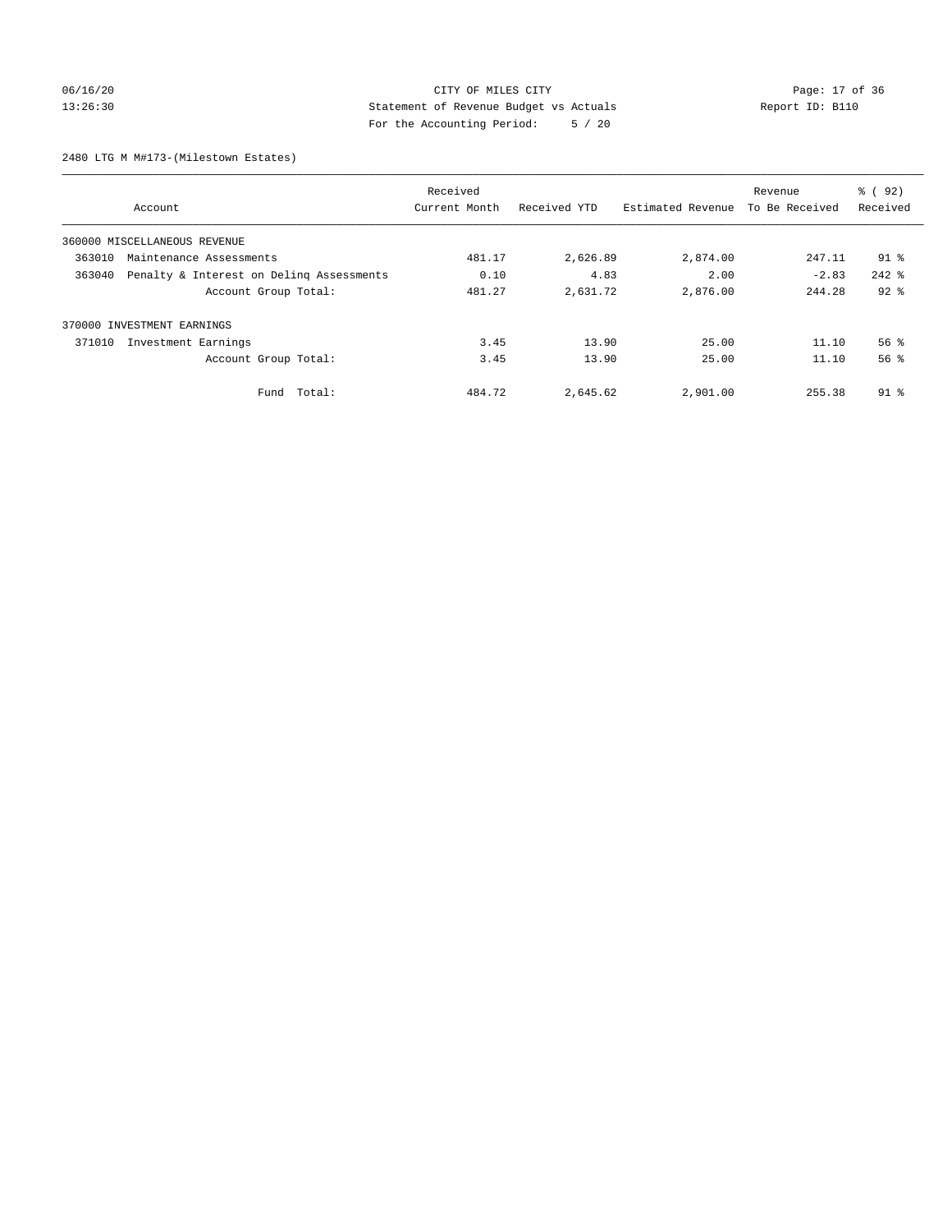## 06/16/20 Page: 17 of 36 13:26:30 Statement of Revenue Budget vs Actuals Report ID: B110 For the Accounting Period: 5 / 20

2480 LTG M M#173-(Milestown Estates)

|        | Received                                 |               |              |                   | Revenue        | % (92)          |
|--------|------------------------------------------|---------------|--------------|-------------------|----------------|-----------------|
|        | Account                                  | Current Month | Received YTD | Estimated Revenue | To Be Received | Received        |
|        | 360000 MISCELLANEOUS REVENUE             |               |              |                   |                |                 |
| 363010 | Maintenance Assessments                  | 481.17        | 2,626.89     | 2,874.00          | 247.11         | $91$ %          |
| 363040 | Penalty & Interest on Deling Assessments | 0.10          | 4.83         | 2.00              | $-2.83$        | $242$ $%$       |
|        | Account Group Total:                     | 481.27        | 2,631.72     | 2,876.00          | 244.28         | $92$ $%$        |
| 370000 | INVESTMENT EARNINGS                      |               |              |                   |                |                 |
| 371010 | Investment Earnings                      | 3.45          | 13.90        | 25.00             | 11.10          | 56 <sup>8</sup> |
|        | Account Group Total:                     | 3.45          | 13.90        | 25.00             | 11.10          | 56 <sup>8</sup> |
|        | Fund Total:                              | 484.72        | 2,645.62     | 2,901.00          | 255.38         | $91*$           |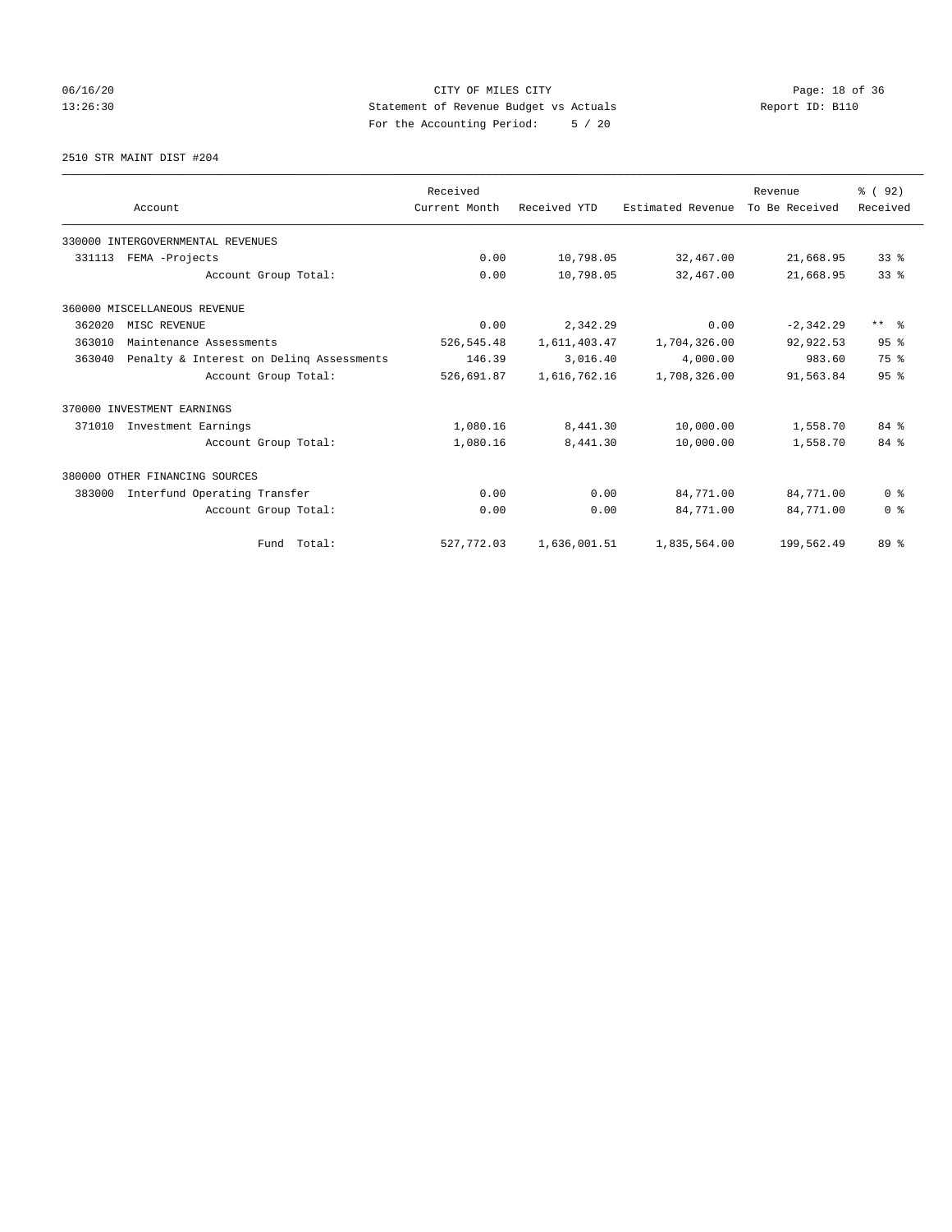# 06/16/20 Page: 18 of 36 13:26:30 Statement of Revenue Budget vs Actuals Report ID: B110 For the Accounting Period: 5 / 20

2510 STR MAINT DIST #204

|        |                                          | Received      |              |                   | Revenue        | 8 (92)          |
|--------|------------------------------------------|---------------|--------------|-------------------|----------------|-----------------|
|        | Account                                  | Current Month | Received YTD | Estimated Revenue | To Be Received | Received        |
|        | 330000 INTERGOVERNMENTAL REVENUES        |               |              |                   |                |                 |
| 331113 | FEMA -Projects                           | 0.00          | 10,798.05    | 32,467.00         | 21,668.95      | 338             |
|        | Account Group Total:                     | 0.00          | 10,798.05    | 32,467.00         | 21,668.95      | 33 <sup>8</sup> |
|        | 360000 MISCELLANEOUS REVENUE             |               |              |                   |                |                 |
| 362020 | MISC REVENUE                             | 0.00          | 2,342.29     | 0.00              | $-2, 342.29$   | $***$ $\approx$ |
| 363010 | Maintenance Assessments                  | 526, 545.48   | 1,611,403.47 | 1,704,326.00      | 92,922.53      | 95%             |
| 363040 | Penalty & Interest on Deling Assessments | 146.39        | 3,016.40     | 4,000.00          | 983.60         | 75 %            |
|        | Account Group Total:                     | 526,691.87    | 1,616,762.16 | 1,708,326.00      | 91,563.84      | 95%             |
|        | 370000 INVESTMENT EARNINGS               |               |              |                   |                |                 |
| 371010 | Investment Earnings                      | 1,080.16      | 8,441.30     | 10,000.00         | 1,558.70       | $84*$           |
|        | Account Group Total:                     | 1,080.16      | 8,441.30     | 10,000.00         | 1,558.70       | 84 %            |
|        | 380000 OTHER FINANCING SOURCES           |               |              |                   |                |                 |
| 383000 | Interfund Operating Transfer             | 0.00          | 0.00         | 84,771.00         | 84,771.00      | 0 <sup>8</sup>  |
|        | Account Group Total:                     | 0.00          | 0.00         | 84,771.00         | 84,771.00      | 0 <sup>8</sup>  |
|        | Fund Total:                              | 527,772.03    | 1,636,001.51 | 1,835,564.00      | 199,562.49     | 89 <sup>°</sup> |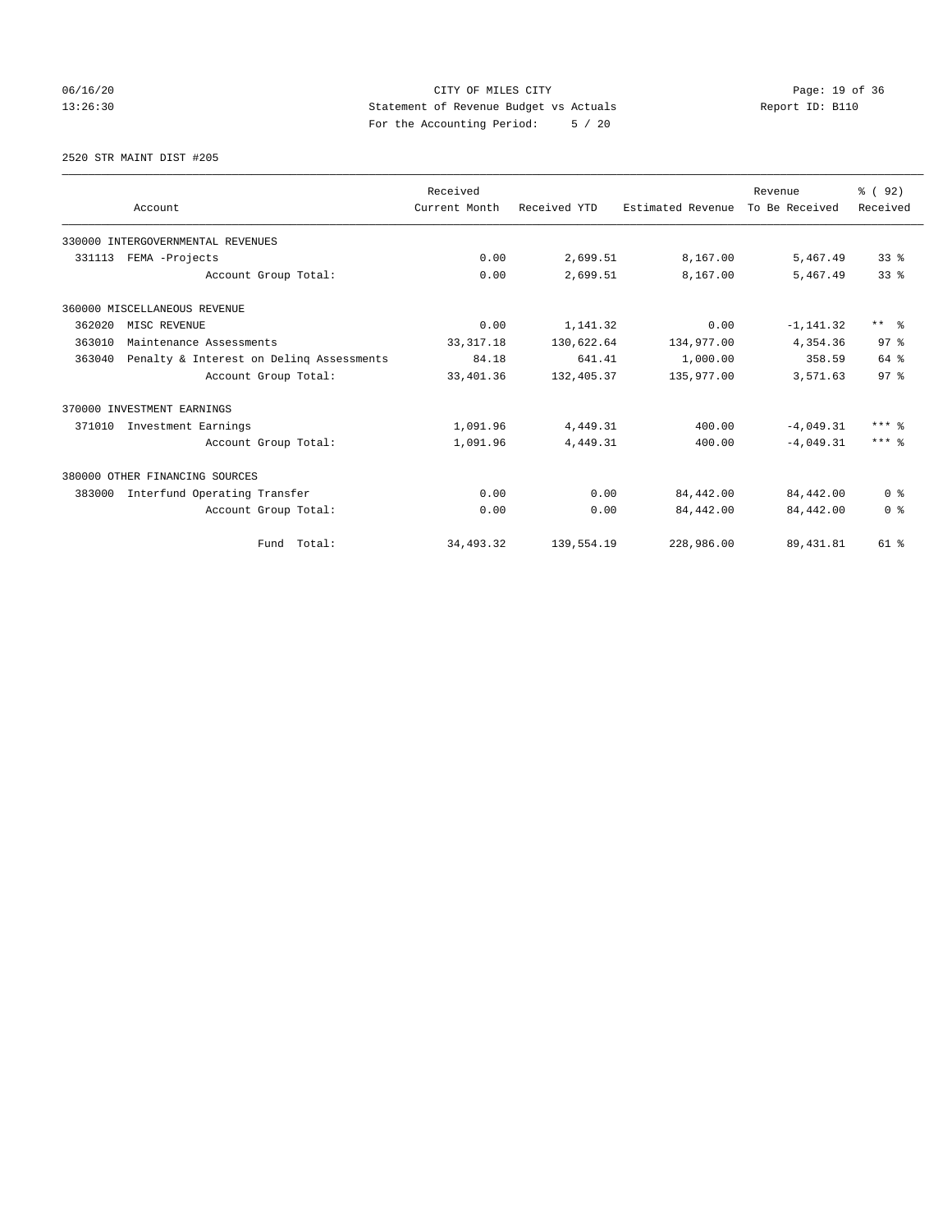## 06/16/20 Page: 19 of 36 13:26:30 Statement of Revenue Budget vs Actuals Report ID: B110 For the Accounting Period: 5 / 20

2520 STR MAINT DIST #205

|        |                                          | Received      |              |                   | Revenue        | 8 (92)          |
|--------|------------------------------------------|---------------|--------------|-------------------|----------------|-----------------|
|        | Account                                  | Current Month | Received YTD | Estimated Revenue | To Be Received | Received        |
|        | 330000 INTERGOVERNMENTAL REVENUES        |               |              |                   |                |                 |
| 331113 | FEMA -Projects                           | 0.00          | 2,699.51     | 8,167.00          | 5,467.49       | 33 <sup>8</sup> |
|        | Account Group Total:                     | 0.00          | 2,699.51     | 8,167.00          | 5,467.49       | 33 <sup>8</sup> |
|        | 360000 MISCELLANEOUS REVENUE             |               |              |                   |                |                 |
| 362020 | MISC REVENUE                             | 0.00          | 1,141.32     | 0.00              | $-1, 141.32$   | $***$ $\approx$ |
| 363010 | Maintenance Assessments                  | 33, 317. 18   | 130,622.64   | 134,977.00        | 4,354.36       | 97 <sup>8</sup> |
| 363040 | Penalty & Interest on Deling Assessments |               | 641.41       | 1,000.00          | 358.59         | 64 %            |
|        | Account Group Total:                     | 33,401.36     | 132,405.37   | 135,977.00        | 3,571.63       | 97 <sup>8</sup> |
|        | 370000 INVESTMENT EARNINGS               |               |              |                   |                |                 |
| 371010 | Investment Earnings                      | 1,091.96      | 4,449.31     | 400.00            | $-4.049.31$    | $***$ $%$       |
|        | Account Group Total:                     | 1,091.96      | 4,449.31     | 400.00            | $-4.049.31$    | $***$ 2         |
|        | 380000 OTHER FINANCING SOURCES           |               |              |                   |                |                 |
| 383000 | Interfund Operating Transfer             | 0.00          | 0.00         | 84,442.00         | 84,442.00      | 0 <sup>8</sup>  |
|        | Account Group Total:                     | 0.00          | 0.00         | 84,442.00         | 84,442.00      | 0 <sup>8</sup>  |
|        | Fund Total:                              | 34, 493.32    | 139,554.19   | 228,986.00        | 89, 431.81     | $61$ $%$        |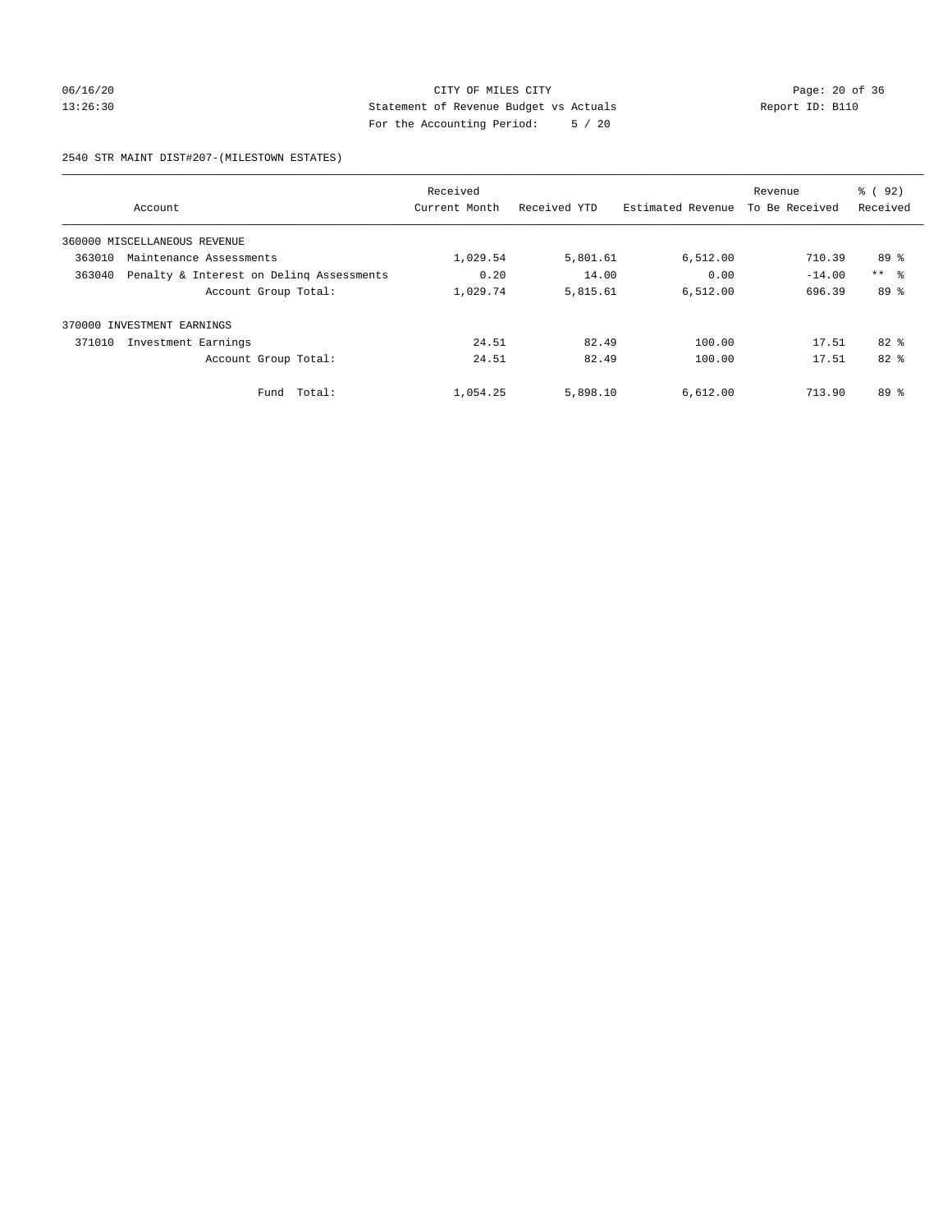## 06/16/20 Page: 20 of 36 13:26:30 Statement of Revenue Budget vs Actuals Report ID: B110 For the Accounting Period: 5 / 20

2540 STR MAINT DIST#207-(MILESTOWN ESTATES)

|        |                                          | Received      |              |                   | Revenue        | % ( 92 )        |
|--------|------------------------------------------|---------------|--------------|-------------------|----------------|-----------------|
|        | Account                                  | Current Month | Received YTD | Estimated Revenue | To Be Received | Received        |
|        | 360000 MISCELLANEOUS REVENUE             |               |              |                   |                |                 |
| 363010 | Maintenance Assessments                  | 1,029.54      | 5,801.61     | 6,512.00          | 710.39         | 89 %            |
| 363040 | Penalty & Interest on Deling Assessments | 0.20          | 14.00        | 0.00              | $-14.00$       | $***$ $\approx$ |
|        | Account Group Total:                     | 1,029.74      | 5,815.61     | 6,512.00          | 696.39         | 89 %            |
|        | 370000 INVESTMENT EARNINGS               |               |              |                   |                |                 |
| 371010 | Investment Earnings                      | 24.51         | 82.49        | 100.00            | 17.51          | $82*$           |
|        | Account Group Total:                     | 24.51         | 82.49        | 100.00            | 17.51          | $82*$           |
|        | Total:<br>Fund                           | 1,054.25      | 5,898.10     | 6,612.00          | 713.90         | $89*$           |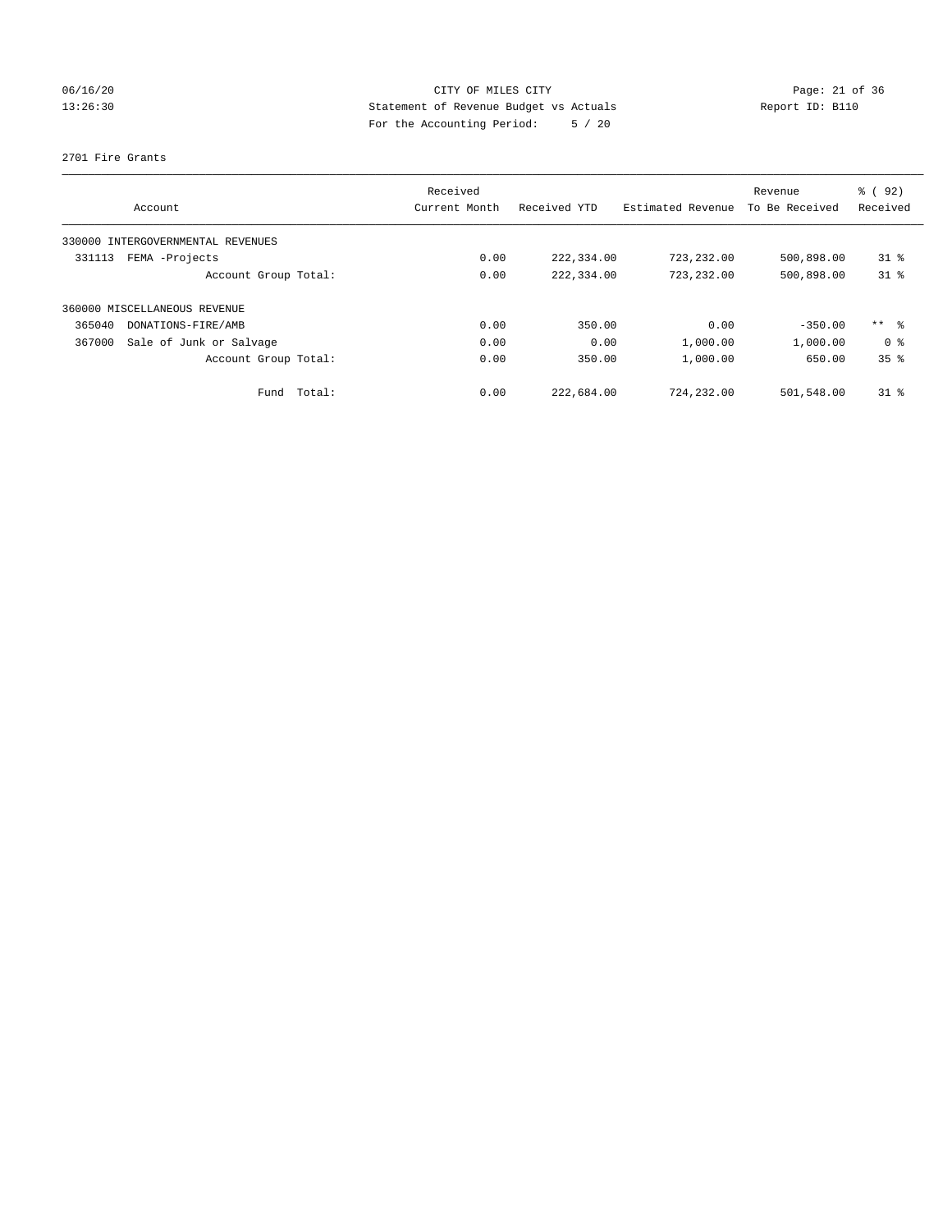# 06/16/20 Page: 21 of 36 13:26:30 Statement of Revenue Budget vs Actuals Report ID: B110 For the Accounting Period: 5 / 20

#### 2701 Fire Grants

| Account                           | Received<br>Current Month | Received YTD | Estimated Revenue | Revenue<br>To Be Received | % (92)<br>Received |
|-----------------------------------|---------------------------|--------------|-------------------|---------------------------|--------------------|
|                                   |                           |              |                   |                           |                    |
| 330000 INTERGOVERNMENTAL REVENUES |                           |              |                   |                           |                    |
| FEMA -Projects<br>331113          | 0.00                      | 222,334.00   | 723, 232, 00      | 500,898.00                | $31*$              |
| Account Group Total:              | 0.00                      | 222,334.00   | 723,232.00        | 500,898.00                | $31$ %             |
| 360000 MISCELLANEOUS REVENUE      |                           |              |                   |                           |                    |
| 365040<br>DONATIONS-FIRE/AMB      | 0.00                      | 350.00       | 0.00              | $-350.00$                 | ** 8               |
| 367000<br>Sale of Junk or Salvage | 0.00                      | 0.00         | 1,000.00          | 1,000.00                  | 0 <sup>8</sup>     |
| Account Group Total:              | 0.00                      | 350.00       | 1,000.00          | 650.00                    | 35%                |
| Fund Total:                       | 0.00                      | 222,684.00   | 724,232.00        | 501,548.00                | $31$ %             |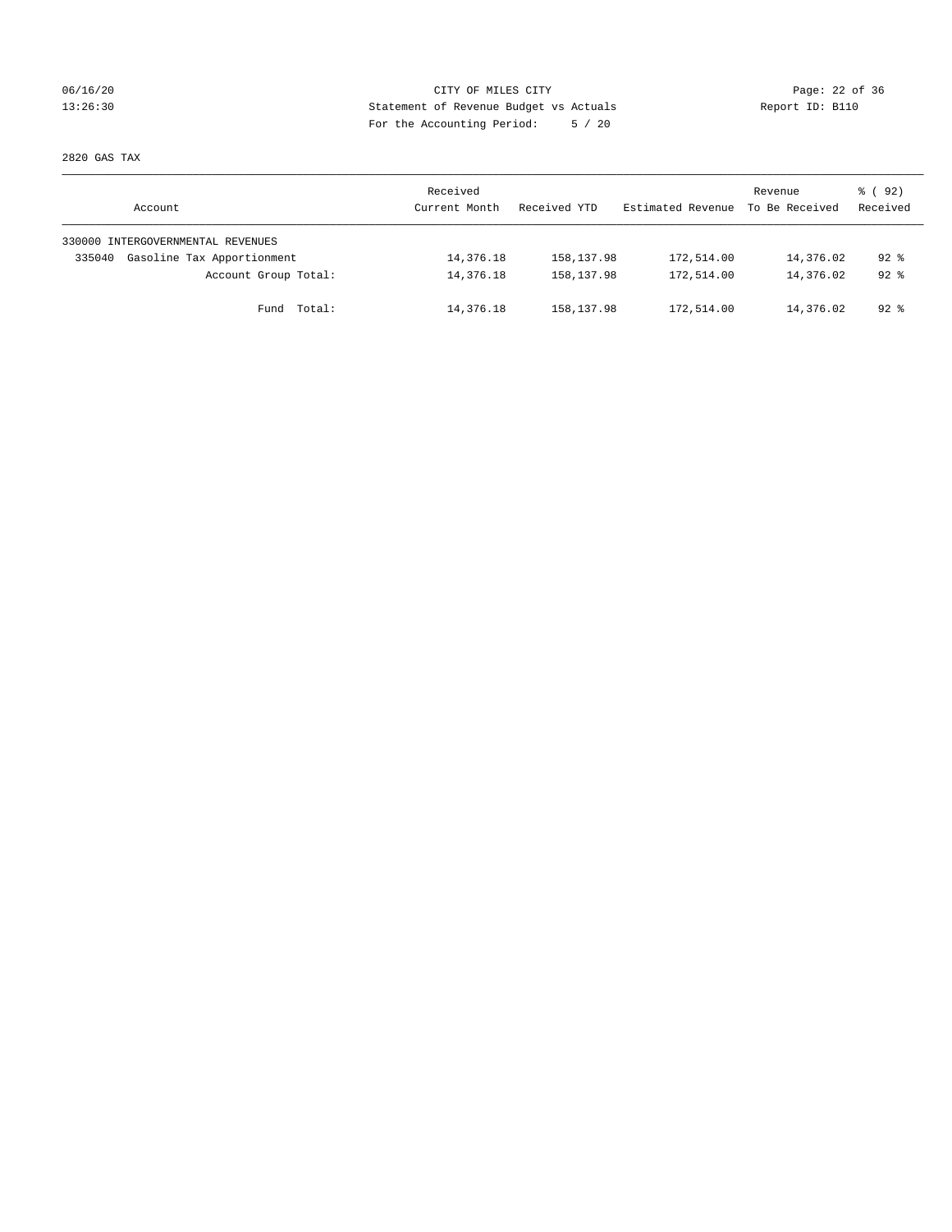## 06/16/20 Page: 22 of 36 13:26:30 Statement of Revenue Budget vs Actuals Report ID: B110 For the Accounting Period: 5 / 20

2820 GAS TAX

| Account                              | Received<br>Current Month | Received YTD | Estimated Revenue | Revenue<br>To Be Received | 8 (92)<br>Received |
|--------------------------------------|---------------------------|--------------|-------------------|---------------------------|--------------------|
| 330000 INTERGOVERNMENTAL REVENUES    |                           |              |                   |                           |                    |
| Gasoline Tax Apportionment<br>335040 | 14,376.18                 | 158,137.98   | 172,514.00        | 14,376.02                 | $92*$              |
| Account Group Total:                 | 14,376.18                 | 158, 137.98  | 172,514.00        | 14,376.02                 | $92*$              |
| Fund Total:                          | 14,376.18                 | 158,137.98   | 172,514.00        | 14,376.02                 | 92 %               |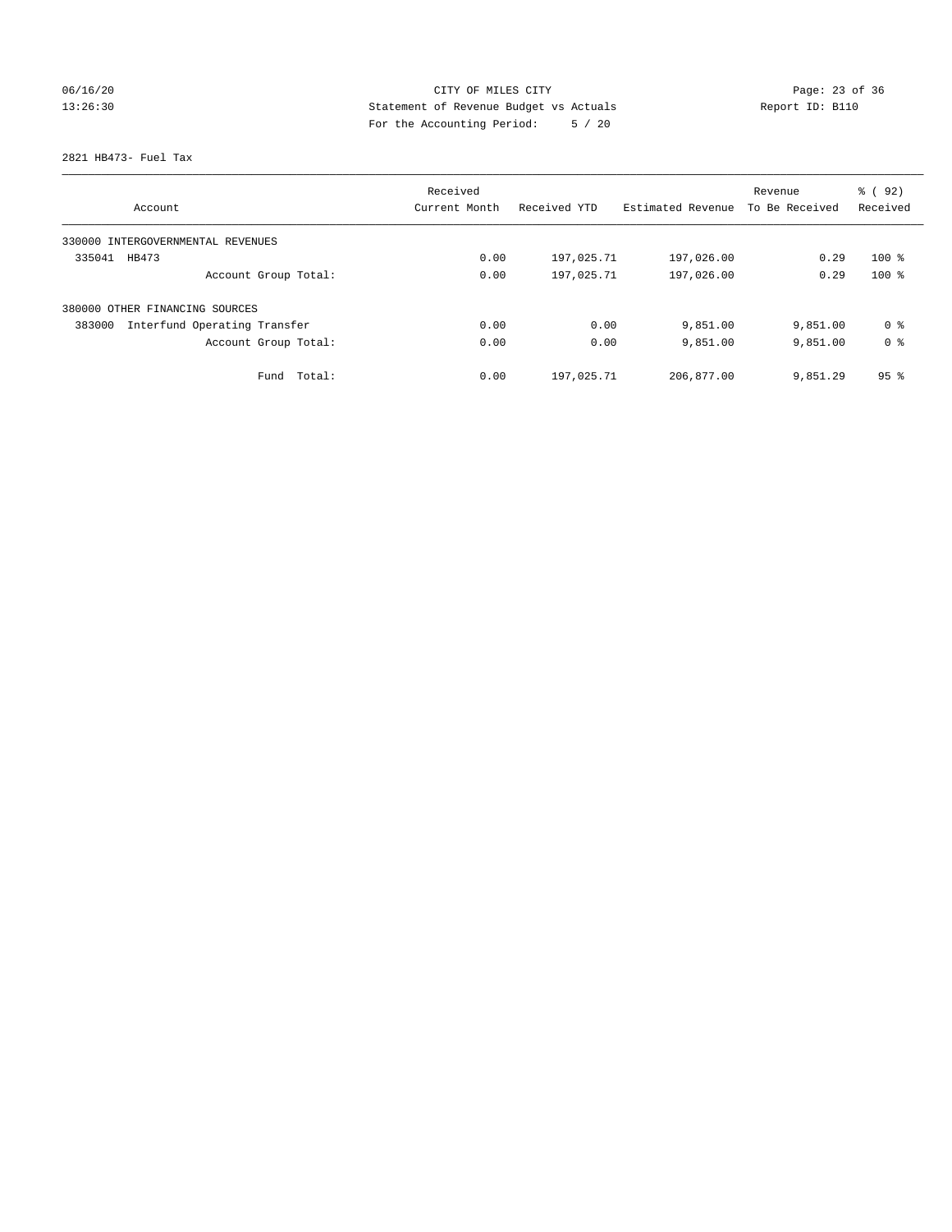# 06/16/20 Page: 23 of 36 13:26:30 Statement of Revenue Budget vs Actuals Report ID: B110 For the Accounting Period: 5 / 20

2821 HB473- Fuel Tax

|                                        | Received      |              |                   | Revenue        | % (92)          |
|----------------------------------------|---------------|--------------|-------------------|----------------|-----------------|
| Account                                | Current Month | Received YTD | Estimated Revenue | To Be Received | Received        |
| 330000 INTERGOVERNMENTAL REVENUES      |               |              |                   |                |                 |
| 335041<br>HB473                        | 0.00          | 197,025.71   | 197,026.00        | 0.29           | $100*$          |
| Account Group Total:                   | 0.00          | 197,025.71   | 197,026.00        | 0.29           | $100*$          |
| 380000 OTHER FINANCING SOURCES         |               |              |                   |                |                 |
| Interfund Operating Transfer<br>383000 | 0.00          | 0.00         | 9,851.00          | 9,851.00       | 0 ક             |
| Account Group Total:                   | 0.00          | 0.00         | 9,851.00          | 9,851.00       | 0 <sup>8</sup>  |
| Total:<br>Fund                         | 0.00          | 197,025.71   | 206,877.00        | 9,851.29       | 95 <sup>8</sup> |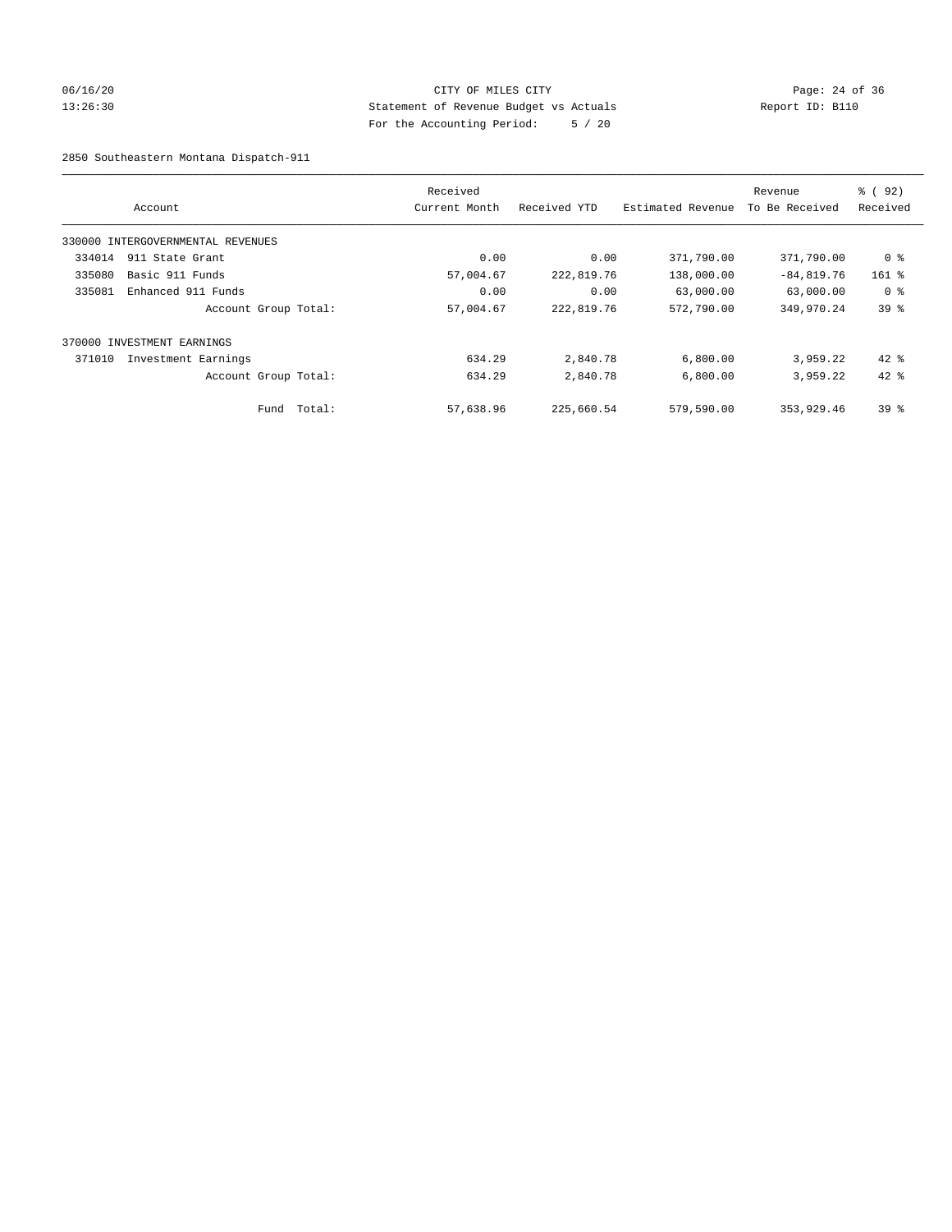## 06/16/20 Page: 24 of 36 13:26:30 Statement of Revenue Budget vs Actuals Report ID: B110 For the Accounting Period: 5 / 20

2850 Southeastern Montana Dispatch-911

|        | Account                           |        | Received<br>Current Month | Received YTD | Estimated Revenue | Revenue<br>To Be Received | % (92)<br>Received |
|--------|-----------------------------------|--------|---------------------------|--------------|-------------------|---------------------------|--------------------|
|        | 330000 INTERGOVERNMENTAL REVENUES |        |                           |              |                   |                           |                    |
| 334014 | 911 State Grant                   |        | 0.00                      | 0.00         | 371,790.00        | 371,790.00                | 0 %                |
| 335080 | Basic 911 Funds                   |        | 57,004.67                 | 222,819.76   | 138,000.00        | $-84,819.76$              | $161$ %            |
| 335081 | Enhanced 911 Funds                |        | 0.00                      | 0.00         | 63,000.00         | 63,000.00                 | 0 <sup>8</sup>     |
|        | Account Group Total:              |        | 57,004.67                 | 222,819.76   | 572,790.00        | 349,970.24                | 39 <sup>8</sup>    |
|        | 370000 INVESTMENT EARNINGS        |        |                           |              |                   |                           |                    |
| 371010 | Investment Earnings               |        | 634.29                    | 2,840.78     | 6,800.00          | 3,959.22                  | $42$ $%$           |
|        | Account Group Total:              |        | 634.29                    | 2,840.78     | 6,800.00          | 3,959.22                  | $42*$              |
|        | Fund                              | Total: | 57,638.96                 | 225,660.54   | 579,590.00        | 353,929.46                | 39 <sup>8</sup>    |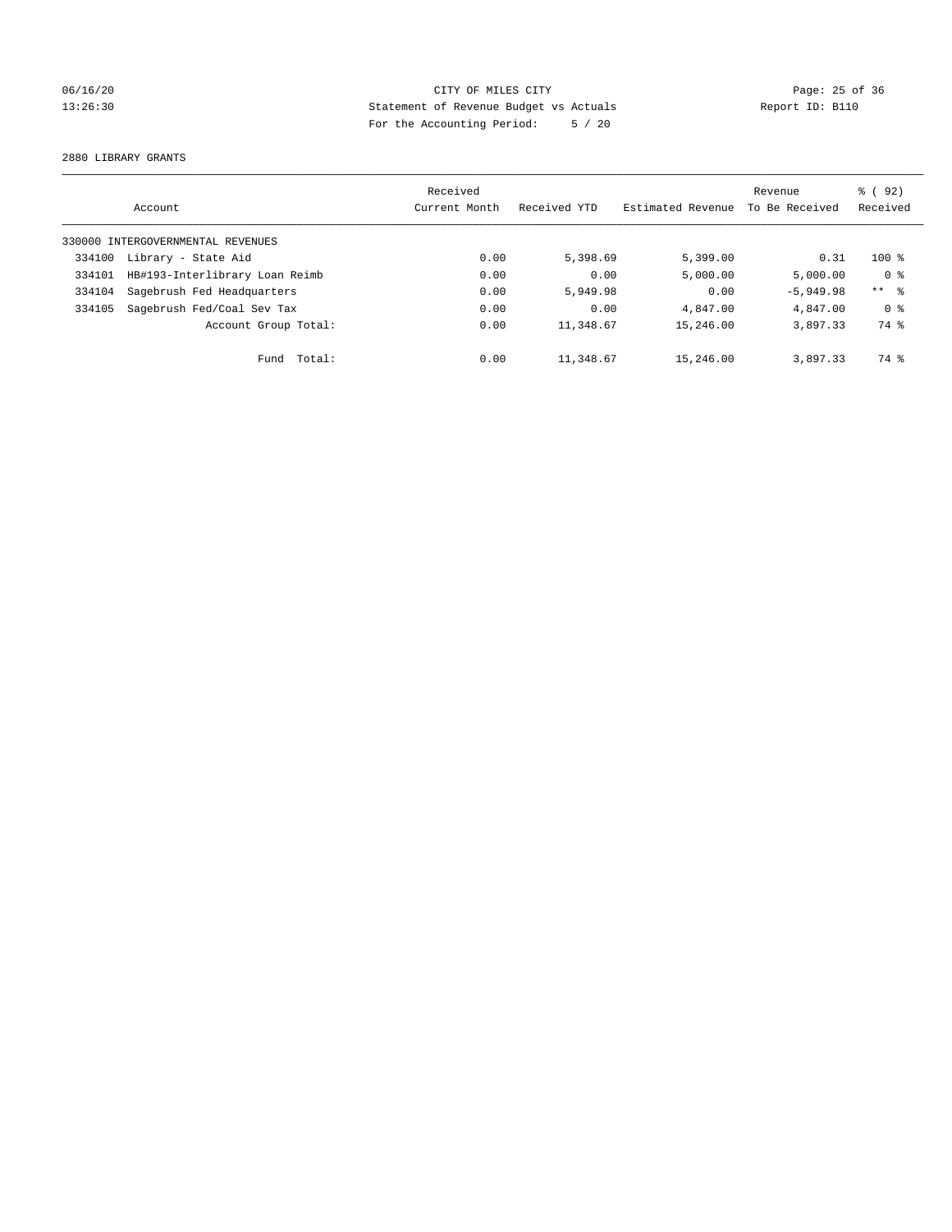## 06/16/20 Page: 25 of 36 13:26:30 Statement of Revenue Budget vs Actuals Report ID: B110 For the Accounting Period: 5 / 20

2880 LIBRARY GRANTS

|        |                                   | Received      |              |                   | Revenue        | 8 (92)         |
|--------|-----------------------------------|---------------|--------------|-------------------|----------------|----------------|
|        | Account                           | Current Month | Received YTD | Estimated Revenue | To Be Received | Received       |
|        | 330000 INTERGOVERNMENTAL REVENUES |               |              |                   |                |                |
| 334100 | Library - State Aid               | 0.00          | 5,398.69     | 5,399.00          | 0.31           | $100*$         |
| 334101 | HB#193-Interlibrary Loan Reimb    | 0.00          | 0.00         | 5,000.00          | 5.000.00       | 0 <sup>8</sup> |
| 334104 | Sagebrush Fed Headquarters        | 0.00          | 5,949.98     | 0.00              | $-5,949.98$    | $***$ $ -$     |
| 334105 | Sagebrush Fed/Coal Sev Tax        | 0.00          | 0.00         | 4,847.00          | 4,847.00       | 0 <sup>8</sup> |
|        | Account Group Total:              | 0.00          | 11,348.67    | 15,246.00         | 3,897.33       | 74 %           |
|        | Total:<br>Fund                    | 0.00          | 11,348.67    | 15,246.00         | 3,897.33       | 74 %           |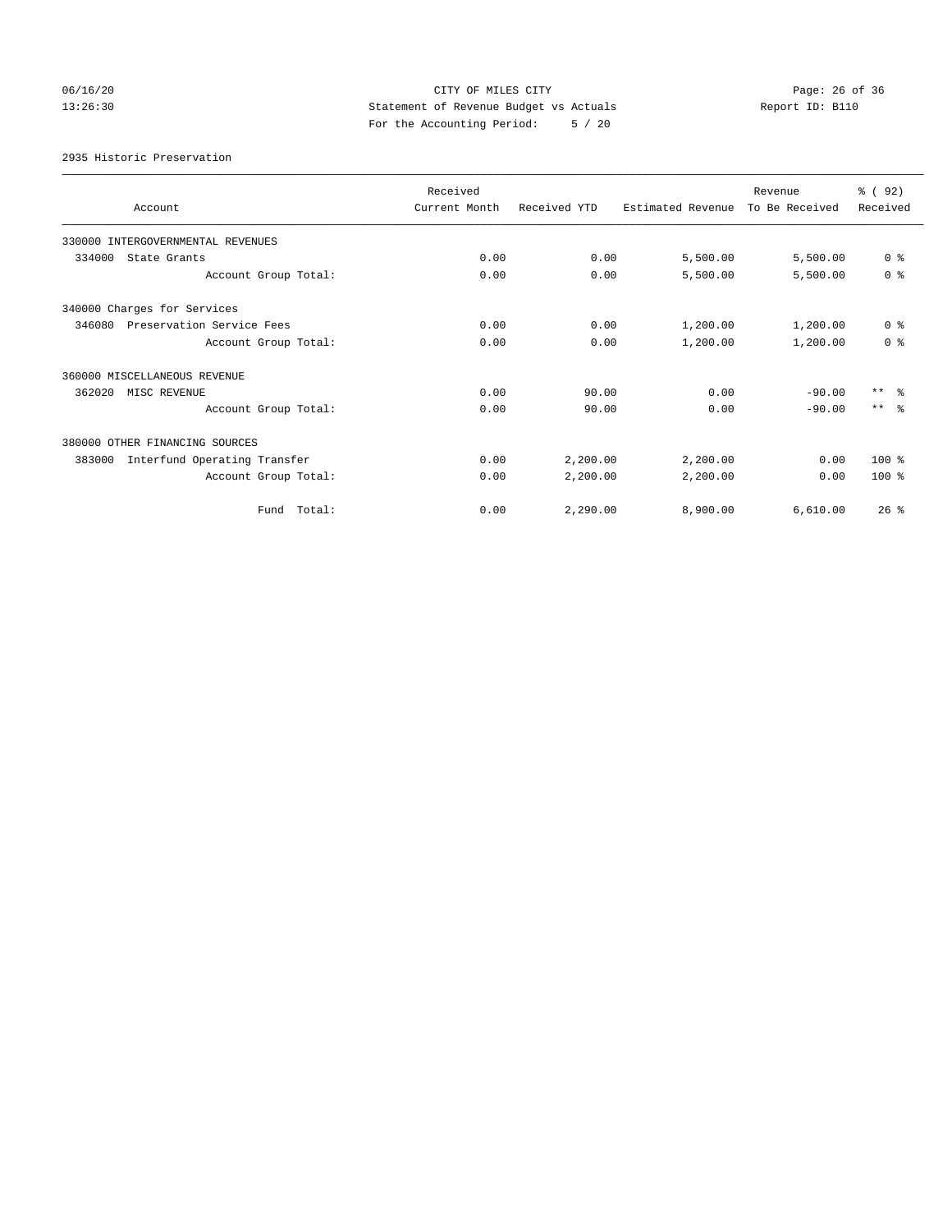# 06/16/20 Page: 26 of 36 13:26:30 Statement of Revenue Budget vs Actuals Report ID: B110 For the Accounting Period: 5 / 20

2935 Historic Preservation

| Account                                | Received<br>Current Month | Received YTD | Estimated Revenue | Revenue<br>To Be Received | % (92)<br>Received |
|----------------------------------------|---------------------------|--------------|-------------------|---------------------------|--------------------|
| 330000 INTERGOVERNMENTAL REVENUES      |                           |              |                   |                           |                    |
| 334000<br>State Grants                 | 0.00                      | 0.00         | 5,500.00          | 5,500.00                  | 0 <sup>8</sup>     |
| Account Group Total:                   | 0.00                      | 0.00         | 5,500.00          | 5,500.00                  | 0 <sup>8</sup>     |
| 340000 Charges for Services            |                           |              |                   |                           |                    |
| 346080<br>Preservation Service Fees    | 0.00                      | 0.00         | 1,200.00          | 1,200.00                  | 0 <sup>8</sup>     |
| Account Group Total:                   | 0.00                      | 0.00         | 1,200.00          | 1,200.00                  | 0 <sup>8</sup>     |
| 360000 MISCELLANEOUS REVENUE           |                           |              |                   |                           |                    |
| 362020<br>MISC REVENUE                 | 0.00                      | 90.00        | 0.00              | $-90.00$                  | $***$ $ -$         |
| Account Group Total:                   | 0.00                      | 90.00        | 0.00              | $-90.00$                  | $***$ $\approx$    |
| 380000 OTHER FINANCING SOURCES         |                           |              |                   |                           |                    |
| Interfund Operating Transfer<br>383000 | 0.00                      | 2,200.00     | 2,200.00          | 0.00                      | 100 %              |
| Account Group Total:                   | 0.00                      | 2,200.00     | 2,200.00          | 0.00                      | $100*$             |
| Fund Total:                            | 0.00                      | 2.290.00     | 8,900.00          | 6.610.00                  | 26%                |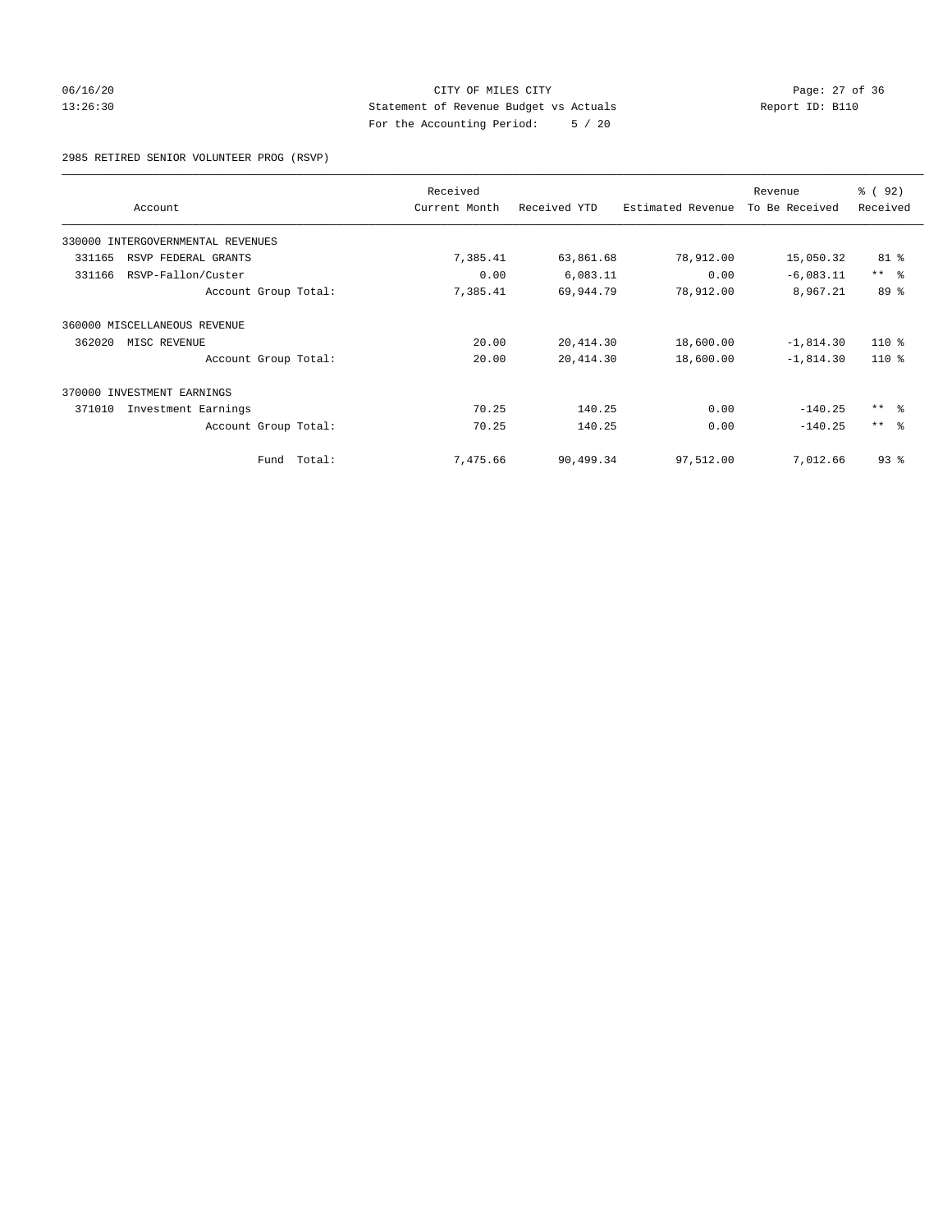## 06/16/20 Page: 27 of 36 13:26:30 Statement of Revenue Budget vs Actuals Report ID: B110 For the Accounting Period: 5 / 20

2985 RETIRED SENIOR VOLUNTEER PROG (RSVP)

| Account                           |             | Received<br>Current Month | Received YTD | Estimated Revenue | Revenue<br>To Be Received | 8 (92)<br>Received |
|-----------------------------------|-------------|---------------------------|--------------|-------------------|---------------------------|--------------------|
|                                   |             |                           |              |                   |                           |                    |
| 330000 INTERGOVERNMENTAL REVENUES |             |                           |              |                   |                           |                    |
| 331165<br>RSVP FEDERAL GRANTS     |             | 7,385.41                  | 63,861.68    | 78,912.00         | 15,050.32                 | 81 %               |
| 331166<br>RSVP-Fallon/Custer      |             | 0.00                      | 6,083.11     | 0.00              | $-6,083.11$               | $***$ $ -$         |
| Account Group Total:              |             | 7,385.41                  | 69,944.79    | 78,912.00         | 8,967.21                  | 89 %               |
| 360000 MISCELLANEOUS REVENUE      |             |                           |              |                   |                           |                    |
| 362020<br>MISC REVENUE            |             | 20.00                     | 20, 414.30   | 18,600.00         | $-1,814.30$               | $110*$             |
| Account Group Total:              |             | 20.00                     | 20, 414.30   | 18,600.00         | $-1,814.30$               | $110*$             |
| 370000 INVESTMENT EARNINGS        |             |                           |              |                   |                           |                    |
| 371010<br>Investment Earnings     |             | 70.25                     | 140.25       | 0.00              | $-140.25$                 | $***$ $ -$         |
| Account Group Total:              |             | 70.25                     | 140.25       | 0.00              | $-140.25$                 | $***$ $ -$         |
|                                   | Fund Total: | 7,475.66                  | 90,499.34    | 97,512.00         | 7,012.66                  | 93%                |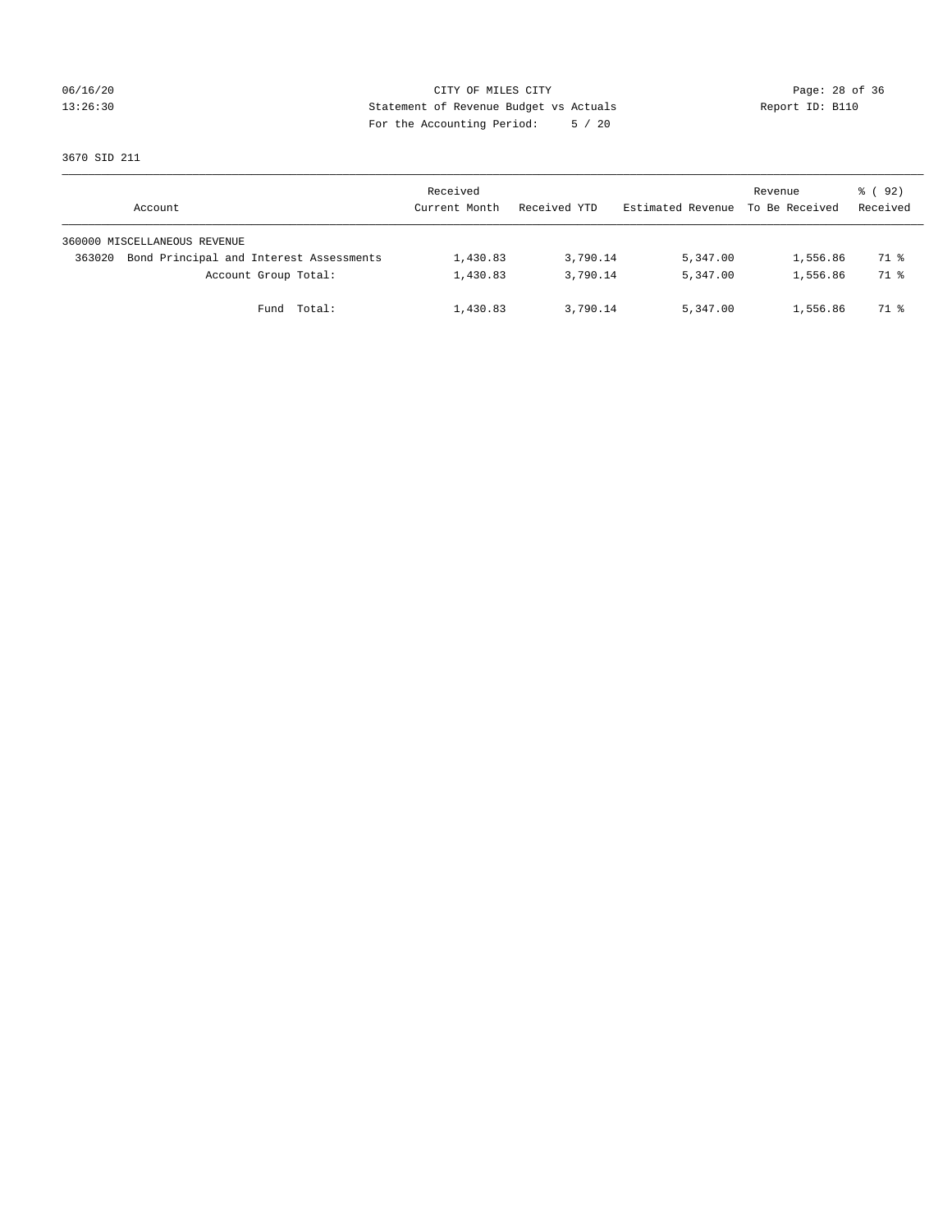## 06/16/20 Page: 28 of 36 13:26:30 Statement of Revenue Budget vs Actuals Report ID: B110 For the Accounting Period: 5 / 20

3670 SID 211

| Account                      |                                         | Received<br>Current Month | Received YTD | Estimated Revenue | Revenue<br>To Be Received | 8 (92)<br>Received |
|------------------------------|-----------------------------------------|---------------------------|--------------|-------------------|---------------------------|--------------------|
| 360000 MISCELLANEOUS REVENUE |                                         |                           |              |                   |                           |                    |
| 363020                       | Bond Principal and Interest Assessments | 1,430.83                  | 3,790.14     | 5,347.00          | 1,556.86                  | 71 %               |
|                              | Account Group Total:                    | 1,430.83                  | 3,790.14     | 5,347.00          | 1,556.86                  | 71 %               |
|                              | Total:<br>Fund                          | 1,430.83                  | 3,790.14     | 5,347.00          | 1,556.86                  | 71 %               |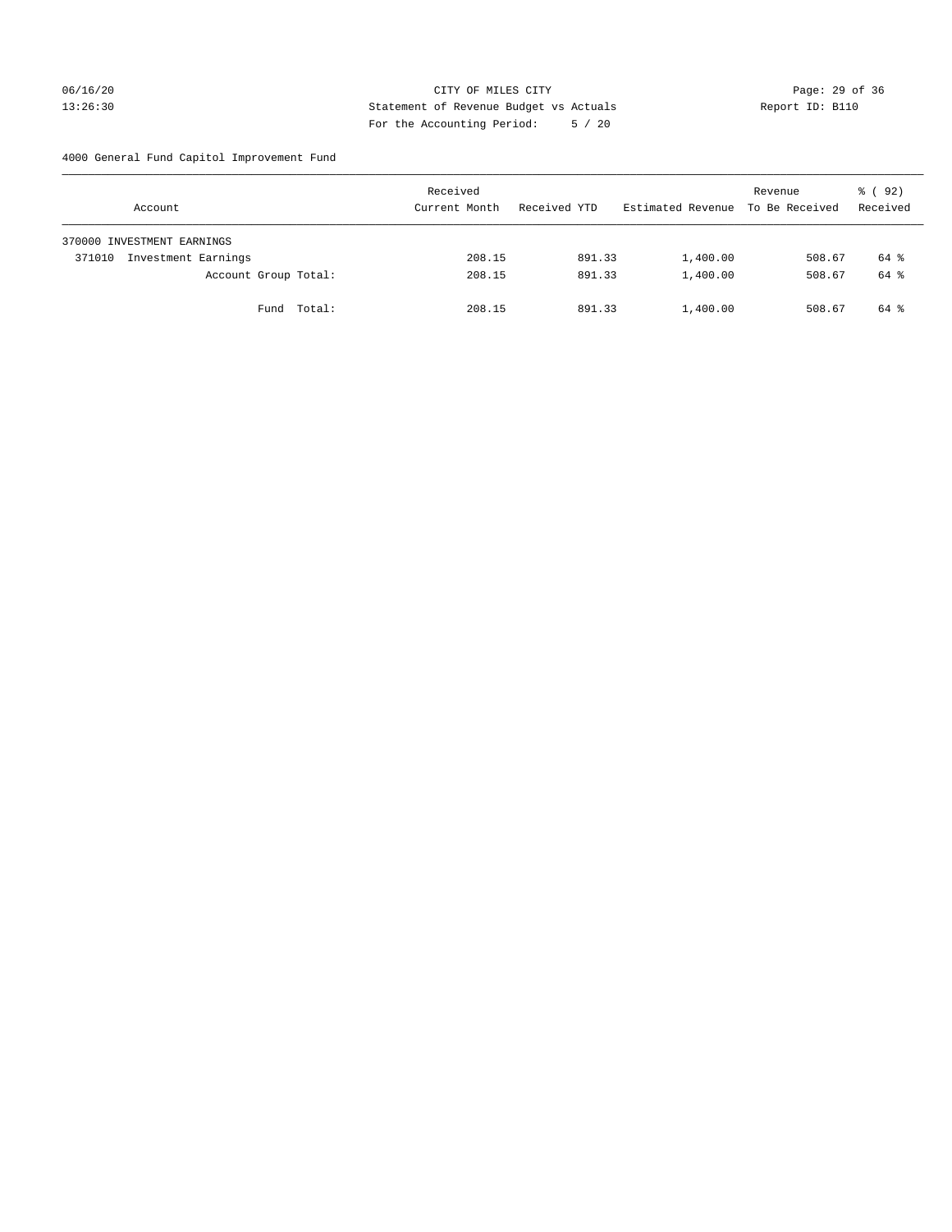## 06/16/20 Page: 29 of 36 13:26:30 Statement of Revenue Budget vs Actuals Report ID: B110 For the Accounting Period: 5 / 20

4000 General Fund Capitol Improvement Fund

|        | Account                    |             | Received<br>Current Month |        | Received YTD |        | Estimated Revenue | Revenue<br>To Be Received | 8 (92)<br>Received |
|--------|----------------------------|-------------|---------------------------|--------|--------------|--------|-------------------|---------------------------|--------------------|
|        | 370000 INVESTMENT EARNINGS |             |                           |        |              |        |                   |                           |                    |
| 371010 | Investment Earnings        |             |                           | 208.15 |              | 891.33 | 1,400.00          | 508.67                    | 64 %               |
|        | Account Group Total:       |             |                           | 208.15 |              | 891.33 | 1,400.00          | 508.67                    | 64 %               |
|        |                            | Fund Total: |                           | 208.15 |              | 891.33 | 1,400.00          | 508.67                    | 64 %               |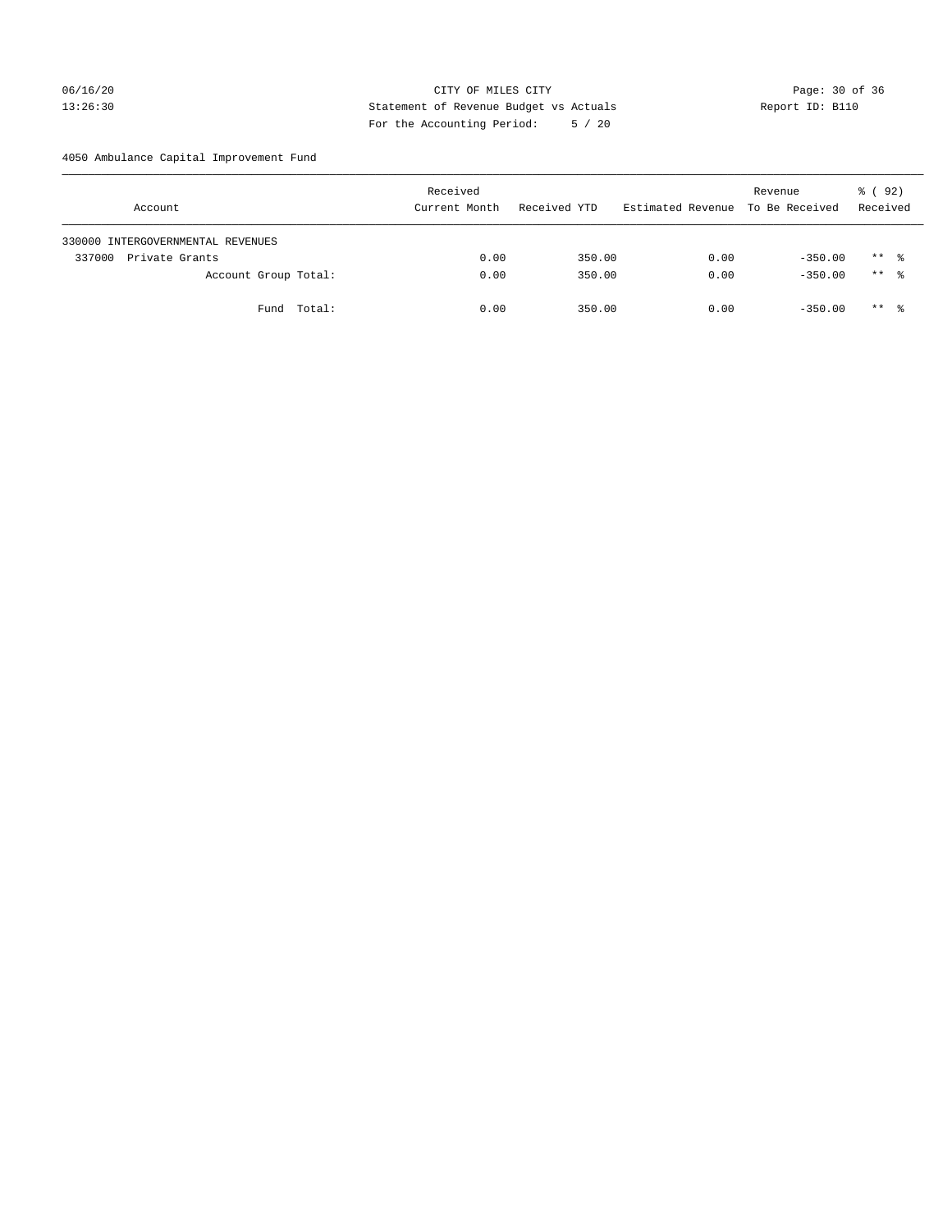## 06/16/20 Page: 30 of 36 13:26:30 Statement of Revenue Budget vs Actuals Report ID: B110 For the Accounting Period: 5 / 20

4050 Ambulance Capital Improvement Fund

| Account                           | Received<br>Current Month | Received YTD | Estimated Revenue | Revenue<br>To Be Received | 8 (92)<br>Received |
|-----------------------------------|---------------------------|--------------|-------------------|---------------------------|--------------------|
| 330000 INTERGOVERNMENTAL REVENUES |                           |              |                   |                           |                    |
| 337000<br>Private Grants          | 0.00                      | 350.00       | 0.00              | $-350.00$                 | $***$ %            |
| Account Group Total:              | 0.00                      | 350.00       | 0.00              | $-350.00$                 | $***$ %            |
| Fund Total:                       | 0.00                      | 350.00       | 0.00              | $-350.00$                 | $***$ %            |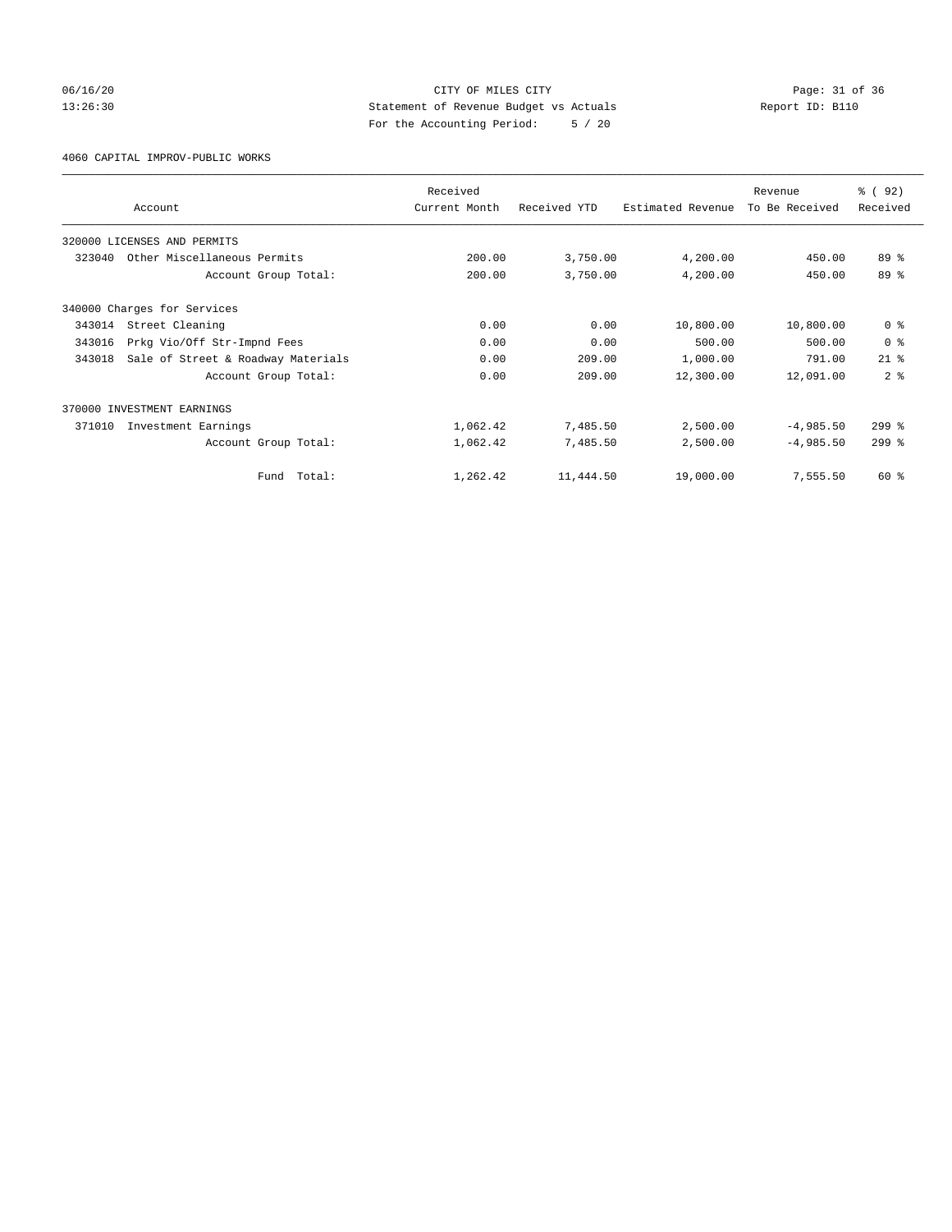## 06/16/20 Page: 31 of 36 13:26:30 Statement of Revenue Budget vs Actuals Report ID: B110 For the Accounting Period: 5 / 20

4060 CAPITAL IMPROV-PUBLIC WORKS

|        | Account                            | Received<br>Current Month | Received YTD | Estimated Revenue | Revenue<br>To Be Received | % (92)<br>Received |
|--------|------------------------------------|---------------------------|--------------|-------------------|---------------------------|--------------------|
|        |                                    |                           |              |                   |                           |                    |
|        | 320000 LICENSES AND PERMITS        |                           |              |                   |                           |                    |
| 323040 | Other Miscellaneous Permits        | 200.00                    | 3,750.00     | 4,200.00          | 450.00                    | 89 %               |
|        | Account Group Total:               | 200.00                    | 3,750.00     | 4,200.00          | 450.00                    | 89 %               |
|        | 340000 Charges for Services        |                           |              |                   |                           |                    |
| 343014 | Street Cleaning                    | 0.00                      | 0.00         | 10,800.00         | 10,800.00                 | 0 <sup>8</sup>     |
| 343016 | Prkg Vio/Off Str-Impnd Fees        | 0.00                      | 0.00         | 500.00            | 500.00                    | 0 <sup>8</sup>     |
| 343018 | Sale of Street & Roadway Materials | 0.00                      | 209.00       | 1,000.00          | 791.00                    | $21$ $%$           |
|        | Account Group Total:               | 0.00                      | 209.00       | 12,300.00         | 12,091.00                 | 2 <sup>8</sup>     |
|        | 370000 INVESTMENT EARNINGS         |                           |              |                   |                           |                    |
| 371010 | Investment Earnings                | 1,062.42                  | 7,485.50     | 2,500.00          | $-4,985.50$               | $299$ $%$          |
|        | Account Group Total:               | 1,062.42                  | 7,485.50     | 2,500.00          | $-4,985.50$               | $299$ $%$          |
|        | Total:<br>Fund                     | 1,262.42                  | 11,444.50    | 19,000.00         | 7,555.50                  | 60 %               |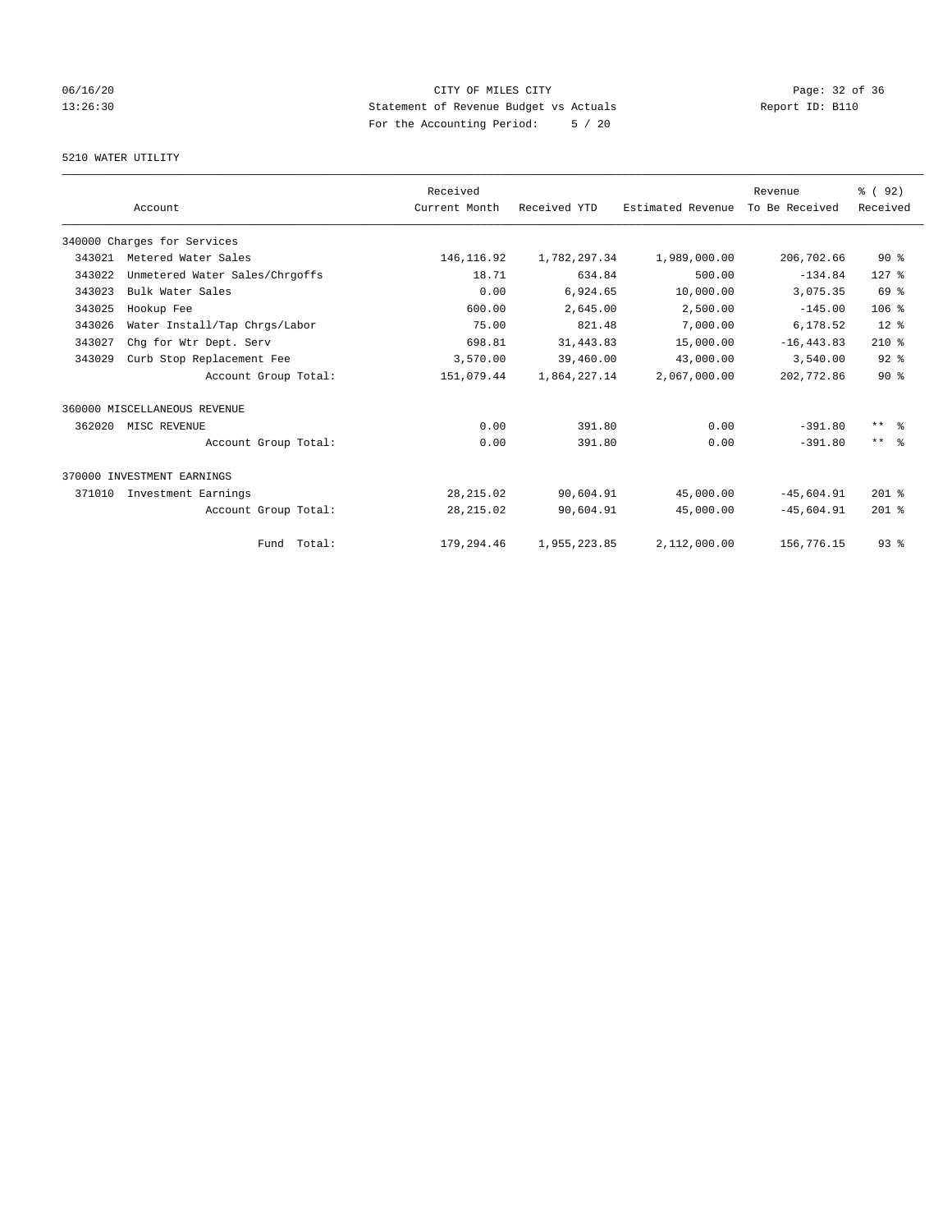# 06/16/20 Page: 32 of 36 13:26:30 Statement of Revenue Budget vs Actuals Report ID: B110 For the Accounting Period: 5 / 20

## 5210 WATER UTILITY

|        |                                | Received      |              |                   | Revenue        | 8 (92)           |
|--------|--------------------------------|---------------|--------------|-------------------|----------------|------------------|
|        | Account                        | Current Month | Received YTD | Estimated Revenue | To Be Received | Received         |
|        | 340000 Charges for Services    |               |              |                   |                |                  |
| 343021 | Metered Water Sales            | 146, 116.92   | 1,782,297.34 | 1,989,000.00      | 206,702.66     | $90*$            |
| 343022 | Unmetered Water Sales/Chrgoffs | 18.71         | 634.84       | 500.00            | $-134.84$      | $127$ $%$        |
| 343023 | Bulk Water Sales               | 0.00          | 6,924.65     | 10,000.00         | 3,075.35       | 69 %             |
| 343025 | Hookup Fee                     | 600.00        | 2,645.00     | 2,500.00          | $-145.00$      | 106 <sup>8</sup> |
| 343026 | Water Install/Tap Chrgs/Labor  | 75.00         | 821.48       | 7,000.00          | 6,178.52       | $12*$            |
| 343027 | Chq for Wtr Dept. Serv         | 698.81        | 31, 443.83   | 15,000.00         | $-16, 443.83$  | $210*$           |
| 343029 | Curb Stop Replacement Fee      | 3,570.00      | 39,460.00    | 43,000.00         | 3,540.00       | $92$ $%$         |
|        | Account Group Total:           | 151,079.44    | 1,864,227.14 | 2,067,000.00      | 202,772.86     | $90*$            |
|        | 360000 MISCELLANEOUS REVENUE   |               |              |                   |                |                  |
| 362020 | MISC REVENUE                   | 0.00          | 391.80       | 0.00              | $-391.80$      | $***$ $ -$       |
|        | Account Group Total:           | 0.00          | 391.80       | 0.00              | $-391.80$      | $***$ $ -$       |
|        | 370000 INVESTMENT EARNINGS     |               |              |                   |                |                  |
| 371010 | Investment Earnings            | 28, 215.02    | 90,604.91    | 45,000.00         | $-45,604.91$   | $201$ %          |
|        | Account Group Total:           | 28, 215.02    | 90,604.91    | 45,000.00         | $-45.604.91$   | $201$ %          |
|        | Fund Total:                    | 179,294.46    | 1,955,223.85 | 2,112,000.00      | 156,776.15     | 93%              |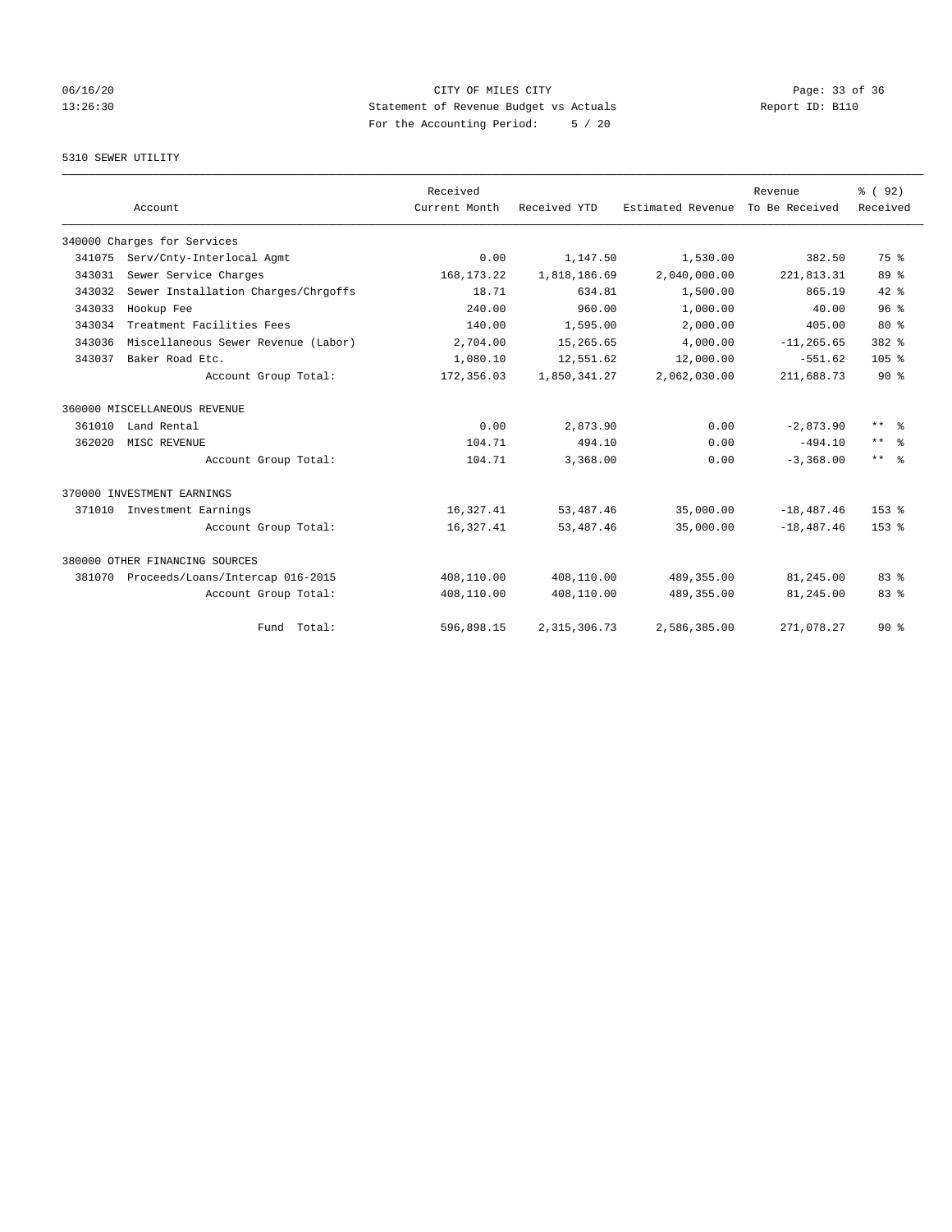# 06/16/20 Page: 33 of 36 13:26:30 Statement of Revenue Budget vs Actuals Report ID: B110 For the Accounting Period: 5 / 20

## 5310 SEWER UTILITY

|        |                                     | Received      |                |                   | Revenue        | % ( 92)                 |
|--------|-------------------------------------|---------------|----------------|-------------------|----------------|-------------------------|
|        | Account                             | Current Month | Received YTD   | Estimated Revenue | To Be Received | Received                |
|        | 340000 Charges for Services         |               |                |                   |                |                         |
| 341075 | Serv/Cnty-Interlocal Agmt           | 0.00          | 1,147.50       | 1,530.00          | 382.50         | 75 %                    |
| 343031 | Sewer Service Charges               | 168, 173. 22  | 1,818,186.69   | 2,040,000.00      | 221,813.31     | 89 %                    |
| 343032 | Sewer Installation Charges/Chrgoffs | 18.71         | 634.81         | 1,500.00          | 865.19         | $42*$                   |
| 343033 | Hookup Fee                          | 240.00        | 960.00         | 1,000.00          | 40.00          | 96%                     |
| 343034 | Treatment Facilities Fees           | 140.00        | 1,595.00       | 2,000.00          | 405.00         | $80*$                   |
| 343036 | Miscellaneous Sewer Revenue (Labor) | 2,704.00      | 15,265.65      | 4,000.00          | $-11, 265, 65$ | 382 %                   |
| 343037 | Baker Road Etc.                     | 1,080.10      | 12,551.62      | 12,000.00         | $-551.62$      | 105 <sub>8</sub>        |
|        | Account Group Total:                | 172,356.03    | 1,850,341.27   | 2,062,030.00      | 211,688.73     | $90*$                   |
|        | 360000 MISCELLANEOUS REVENUE        |               |                |                   |                |                         |
| 361010 | Land Rental                         | 0.00          | 2,873.90       | 0.00              | $-2,873.90$    | $***$ $\approx$         |
| 362020 | MISC REVENUE                        | 104.71        | 494.10         | 0.00              | $-494.10$      | $***$ $ -$              |
|        | Account Group Total:                | 104.71        | 3,368.00       | 0.00              | $-3,368,00$    | $***$ $=$ $\frac{6}{5}$ |
|        | 370000 INVESTMENT EARNINGS          |               |                |                   |                |                         |
| 371010 | Investment Earnings                 | 16,327.41     | 53, 487. 46    | 35,000.00         | $-18, 487.46$  | 153 <sub>8</sub>        |
|        | Account Group Total:                | 16,327.41     | 53, 487. 46    | 35,000.00         | $-18, 487, 46$ | $153*$                  |
|        | 380000 OTHER FINANCING SOURCES      |               |                |                   |                |                         |
| 381070 | Proceeds/Loans/Intercap 016-2015    | 408,110.00    | 408,110.00     | 489, 355.00       | 81,245.00      | 83 <sup>8</sup>         |
|        | Account Group Total:                | 408,110.00    | 408,110.00     | 489, 355.00       | 81,245.00      | 83%                     |
|        | Fund Total:                         | 596,898.15    | 2, 315, 306.73 | 2,586,385.00      | 271,078.27     | $90*$                   |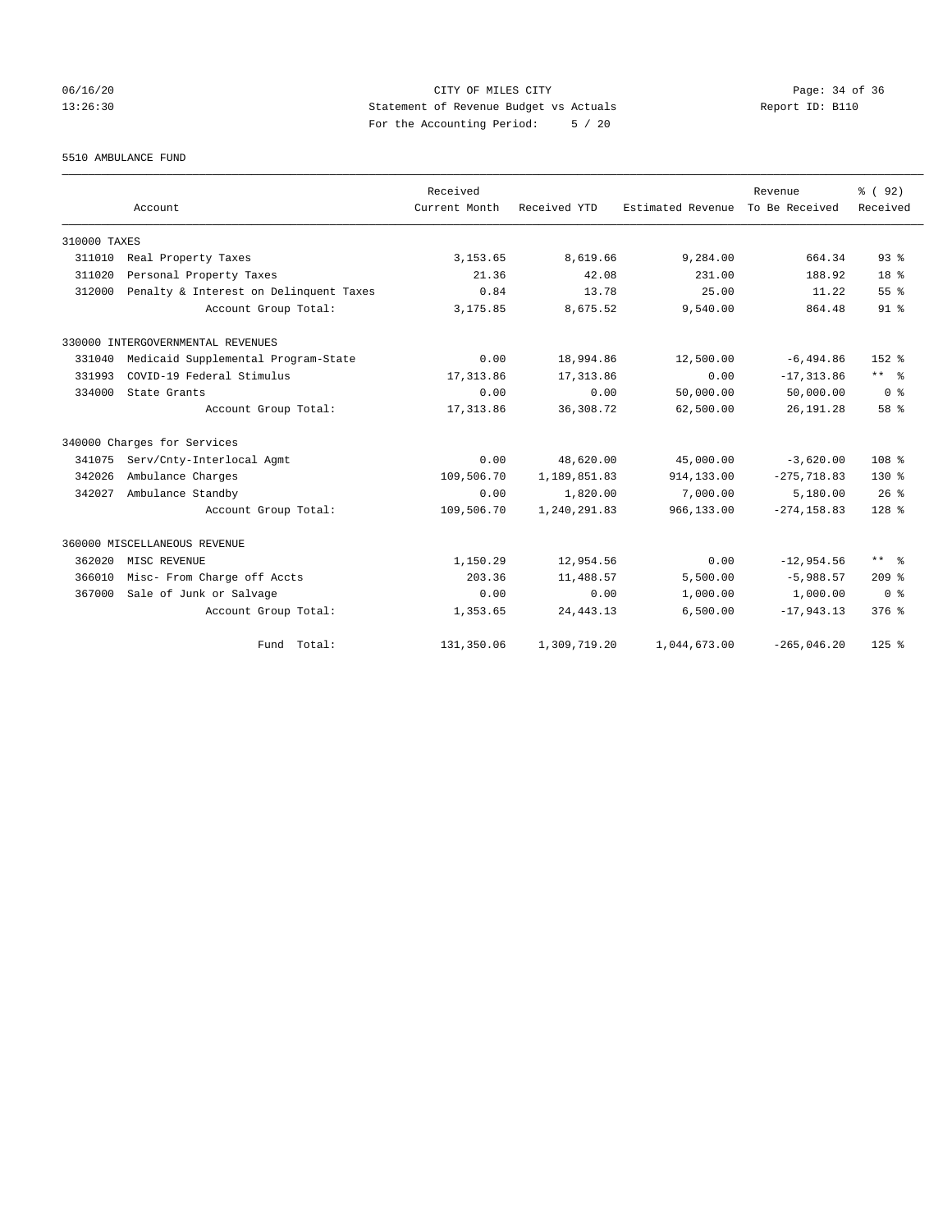## 06/16/20 Page: 34 of 36 13:26:30 Statement of Revenue Budget vs Actuals Report ID: B110 For the Accounting Period: 5 / 20

5510 AMBULANCE FUND

|              | Account                                | Received<br>Current Month | Received YTD | Estimated Revenue | Revenue<br>To Be Received | % (92)<br>Received      |
|--------------|----------------------------------------|---------------------------|--------------|-------------------|---------------------------|-------------------------|
| 310000 TAXES |                                        |                           |              |                   |                           |                         |
| 311010       | Real Property Taxes                    | 3, 153.65                 | 8,619.66     | 9,284.00          | 664.34                    | 93 <sup>8</sup>         |
| 311020       | Personal Property Taxes                | 21.36                     | 42.08        | 231.00            | 188.92                    | 18 <sup>8</sup>         |
| 312000       | Penalty & Interest on Delinquent Taxes | 0.84                      | 13.78        | 25.00             | 11.22                     | 55%                     |
|              | Account Group Total:                   | 3,175.85                  | 8,675.52     | 9,540.00          | 864.48                    | 91 <sup>°</sup>         |
|              | 330000 INTERGOVERNMENTAL REVENUES      |                           |              |                   |                           |                         |
| 331040       | Medicaid Supplemental Program-State    | 0.00                      | 18,994.86    | 12,500.00         | $-6,494.86$               | $152*$                  |
| 331993       | COVID-19 Federal Stimulus              | 17, 313.86                | 17, 313.86   | 0.00              | $-17, 313.86$             | $***$ $ -$              |
| 334000       | State Grants                           | 0.00                      | 0.00         | 50,000.00         | 50,000.00                 | 0 <sup>8</sup>          |
|              | Account Group Total:                   | 17,313.86                 | 36, 308.72   | 62,500.00         | 26, 191. 28               | 58 %                    |
|              | 340000 Charges for Services            |                           |              |                   |                           |                         |
| 341075       | Serv/Cnty-Interlocal Agmt              | 0.00                      | 48,620.00    | 45,000.00         | $-3,620.00$               | 108 <sup>8</sup>        |
| 342026       | Ambulance Charges                      | 109,506.70                | 1,189,851.83 | 914,133.00        | $-275, 718.83$            | 130 %                   |
| 342027       | Ambulance Standby                      | 0.00                      | 1,820.00     | 7,000.00          | 5,180.00                  | 26%                     |
|              | Account Group Total:                   | 109,506.70                | 1,240,291.83 | 966,133.00        | $-274, 158.83$            | $128$ %                 |
|              | 360000 MISCELLANEOUS REVENUE           |                           |              |                   |                           |                         |
| 362020       | MISC REVENUE                           | 1,150.29                  | 12,954.56    | 0.00              | $-12,954.56$              | $***$ $=$ $\frac{6}{5}$ |
| 366010       | Misc- From Charge off Accts            | 203.36                    | 11,488.57    | 5,500.00          | $-5,988.57$               | 209%                    |
| 367000       | Sale of Junk or Salvage                | 0.00                      | 0.00         | 1,000.00          | 1,000.00                  | 0 <sup>8</sup>          |
|              | Account Group Total:                   | 1,353.65                  | 24, 443.13   | 6,500.00          | $-17,943.13$              | $376$ %                 |
|              | Fund Total:                            | 131,350.06                | 1,309,719.20 | 1,044,673.00      | $-265,046.20$             | $125$ $%$               |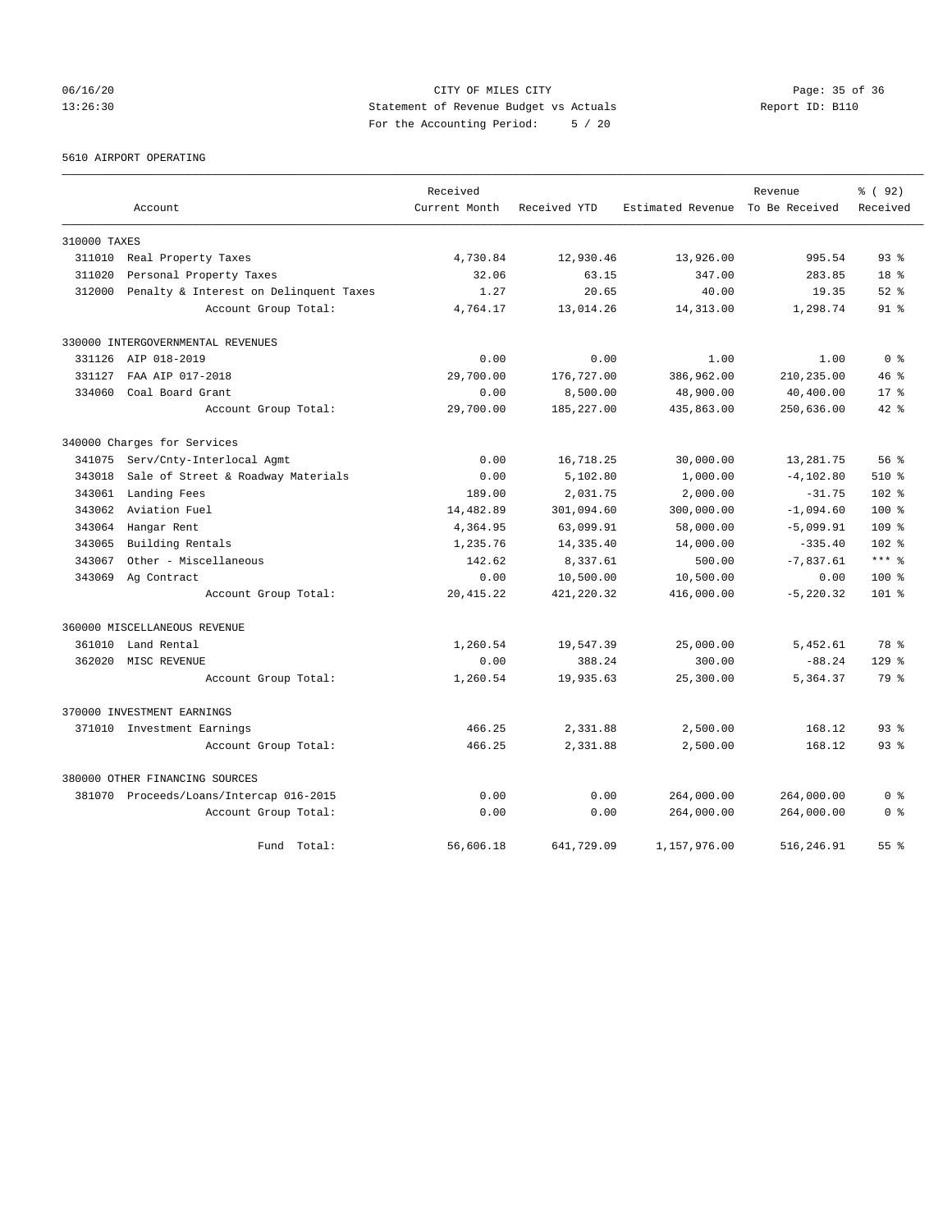## 06/16/20 Page: 35 of 36 13:26:30 Statement of Revenue Budget vs Actuals Report ID: B110 For the Accounting Period: 5 / 20

5610 AIRPORT OPERATING

|              |                                         | Received      |              |                                  | Revenue      | % (92)           |
|--------------|-----------------------------------------|---------------|--------------|----------------------------------|--------------|------------------|
|              | Account                                 | Current Month | Received YTD | Estimated Revenue To Be Received |              | Received         |
| 310000 TAXES |                                         |               |              |                                  |              |                  |
| 311010       | Real Property Taxes                     | 4,730.84      | 12,930.46    | 13,926.00                        | 995.54       | 93%              |
| 311020       | Personal Property Taxes                 | 32.06         | 63.15        | 347.00                           | 283.85       | 18 %             |
| 312000       | Penalty & Interest on Delinquent Taxes  | 1.27          | 20.65        | 40.00                            | 19.35        | $52$ $%$         |
|              | Account Group Total:                    | 4,764.17      | 13,014.26    | 14,313.00                        | 1,298.74     | 91 %             |
|              | 330000 INTERGOVERNMENTAL REVENUES       |               |              |                                  |              |                  |
|              | 331126 AIP 018-2019                     | 0.00          | 0.00         | 1.00                             | 1.00         | 0 <sup>8</sup>   |
| 331127       | FAA AIP 017-2018                        | 29,700.00     | 176,727.00   | 386,962.00                       | 210,235.00   | 46%              |
| 334060       | Coal Board Grant                        | 0.00          | 8,500.00     | 48,900.00                        | 40,400.00    | $17*$            |
|              | Account Group Total:                    | 29,700.00     | 185, 227.00  | 435,863.00                       | 250,636.00   | $42*$            |
|              | 340000 Charges for Services             |               |              |                                  |              |                  |
| 341075       | Serv/Cnty-Interlocal Agmt               | 0.00          | 16,718.25    | 30,000.00                        | 13,281.75    | 56%              |
| 343018       | Sale of Street & Roadway Materials      | 0.00          | 5,102.80     | 1,000.00                         | $-4, 102.80$ | $510*$           |
| 343061       | Landing Fees                            | 189.00        | 2,031.75     | 2,000.00                         | $-31.75$     | 102 %            |
| 343062       | Aviation Fuel                           | 14,482.89     | 301,094.60   | 300,000.00                       | $-1,094.60$  | $100*$           |
| 343064       | Hangar Rent                             | 4,364.95      | 63,099.91    | 58,000.00                        | $-5,099.91$  | 109 <sup>8</sup> |
| 343065       | Building Rentals                        | 1,235.76      | 14,335.40    | 14,000.00                        | $-335.40$    | 102 <sub>8</sub> |
| 343067       | Other - Miscellaneous                   | 142.62        | 8,337.61     | 500.00                           | $-7,837.61$  | $***$ %          |
| 343069       | Ag Contract                             | 0.00          | 10,500.00    | 10,500.00                        | 0.00         | 100 %            |
|              | Account Group Total:                    | 20, 415.22    | 421, 220.32  | 416,000.00                       | $-5, 220.32$ | $101$ %          |
|              | 360000 MISCELLANEOUS REVENUE            |               |              |                                  |              |                  |
| 361010       | Land Rental                             | 1,260.54      | 19,547.39    | 25,000.00                        | 5,452.61     | 78 %             |
| 362020       | MISC REVENUE                            | 0.00          | 388.24       | 300.00                           | $-88.24$     | $129$ $%$        |
|              | Account Group Total:                    | 1,260.54      | 19,935.63    | 25,300.00                        | 5,364.37     | 79 %             |
|              | 370000 INVESTMENT EARNINGS              |               |              |                                  |              |                  |
|              | 371010 Investment Earnings              | 466.25        | 2,331.88     | 2,500.00                         | 168.12       | $93$ $%$         |
|              | Account Group Total:                    | 466.25        | 2,331.88     | 2,500.00                         | 168.12       | 93%              |
|              | 380000 OTHER FINANCING SOURCES          |               |              |                                  |              |                  |
|              | 381070 Proceeds/Loans/Intercap 016-2015 | 0.00          | 0.00         | 264,000.00                       | 264,000.00   | 0 %              |
|              | Account Group Total:                    | 0.00          | 0.00         | 264,000.00                       | 264,000.00   | 0 <sup>8</sup>   |
|              | Fund Total:                             | 56,606.18     | 641,729.09   | 1,157,976.00                     | 516,246.91   | 55 <sup>8</sup>  |